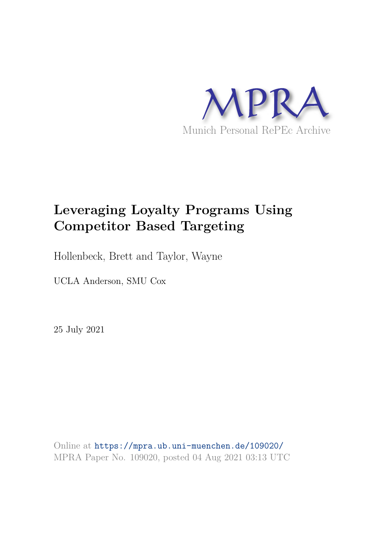

# **Leveraging Loyalty Programs Using Competitor Based Targeting**

Hollenbeck, Brett and Taylor, Wayne

UCLA Anderson, SMU Cox

25 July 2021

Online at https://mpra.ub.uni-muenchen.de/109020/ MPRA Paper No. 109020, posted 04 Aug 2021 03:13 UTC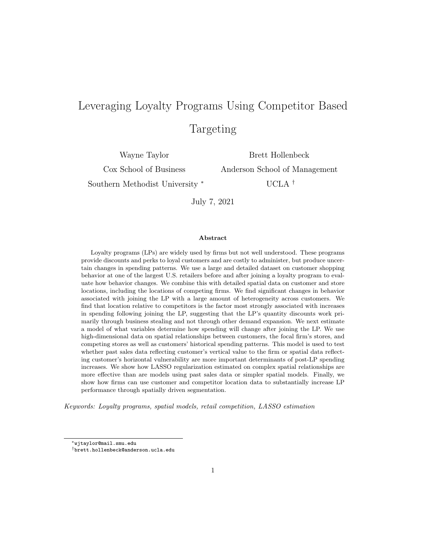# Leveraging Loyalty Programs Using Competitor Based Targeting

Wayne Taylor

Cox School of Business

Southern Methodist University <sup>∗</sup>

Brett Hollenbeck Anderson School of Management

UCLA †

July 7, 2021

#### Abstract

Loyalty programs (LPs) are widely used by firms but not well understood. These programs provide discounts and perks to loyal customers and are costly to administer, but produce uncertain changes in spending patterns. We use a large and detailed dataset on customer shopping behavior at one of the largest U.S. retailers before and after joining a loyalty program to evaluate how behavior changes. We combine this with detailed spatial data on customer and store locations, including the locations of competing firms. We find significant changes in behavior associated with joining the LP with a large amount of heterogeneity across customers. We find that location relative to competitors is the factor most strongly associated with increases in spending following joining the LP, suggesting that the LP's quantity discounts work primarily through business stealing and not through other demand expansion. We next estimate a model of what variables determine how spending will change after joining the LP. We use high-dimensional data on spatial relationships between customers, the focal firm's stores, and competing stores as well as customers' historical spending patterns. This model is used to test whether past sales data reflecting customer's vertical value to the firm or spatial data reflecting customer's horizontal vulnerability are more important determinants of post-LP spending increases. We show how LASSO regularization estimated on complex spatial relationships are more effective than are models using past sales data or simpler spatial models. Finally, we show how firms can use customer and competitor location data to substantially increase LP performance through spatially driven segmentation.

Keywords: Loyalty programs, spatial models, retail competition, LASSO estimation

<sup>∗</sup>wjtaylor@mail.smu.edu

<sup>†</sup>brett.hollenbeck@anderson.ucla.edu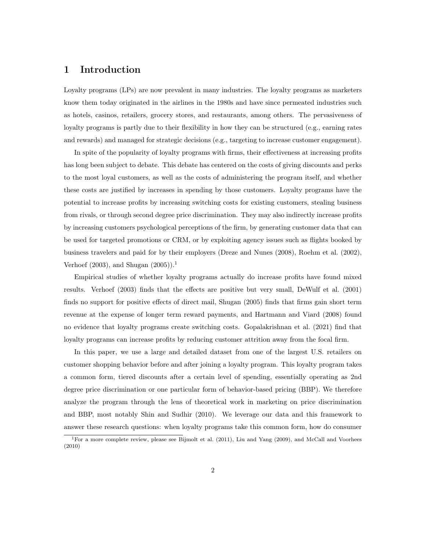## 1 Introduction

Loyalty programs (LPs) are now prevalent in many industries. The loyalty programs as marketers know them today originated in the airlines in the 1980s and have since permeated industries such as hotels, casinos, retailers, grocery stores, and restaurants, among others. The pervasiveness of loyalty programs is partly due to their flexibility in how they can be structured (e.g., earning rates and rewards) and managed for strategic decisions (e.g., targeting to increase customer engagement).

In spite of the popularity of loyalty programs with firms, their effectiveness at increasing profits has long been subject to debate. This debate has centered on the costs of giving discounts and perks to the most loyal customers, as well as the costs of administering the program itself, and whether these costs are justified by increases in spending by those customers. Loyalty programs have the potential to increase profits by increasing switching costs for existing customers, stealing business from rivals, or through second degree price discrimination. They may also indirectly increase profits by increasing customers psychological perceptions of the firm, by generating customer data that can be used for targeted promotions or CRM, or by exploiting agency issues such as flights booked by business travelers and paid for by their employers (Dreze and Nunes (2008), Roehm et al. (2002), Verhoef  $(2003)$ , and Shugan  $(2005)$ ).<sup>1</sup>

Empirical studies of whether loyalty programs actually do increase profits have found mixed results. Verhoef (2003) finds that the effects are positive but very small, DeWulf et al. (2001) finds no support for positive effects of direct mail, Shugan (2005) finds that firms gain short term revenue at the expense of longer term reward payments, and Hartmann and Viard (2008) found no evidence that loyalty programs create switching costs. Gopalakrishnan et al. (2021) find that loyalty programs can increase profits by reducing customer attrition away from the focal firm.

In this paper, we use a large and detailed dataset from one of the largest U.S. retailers on customer shopping behavior before and after joining a loyalty program. This loyalty program takes a common form, tiered discounts after a certain level of spending, essentially operating as 2nd degree price discrimination or one particular form of behavior-based pricing (BBP). We therefore analyze the program through the lens of theoretical work in marketing on price discrimination and BBP, most notably Shin and Sudhir (2010). We leverage our data and this framework to answer these research questions: when loyalty programs take this common form, how do consumer

<sup>1</sup>For a more complete review, please see Bijmolt et al. (2011), Liu and Yang (2009), and McCall and Voorhees (2010)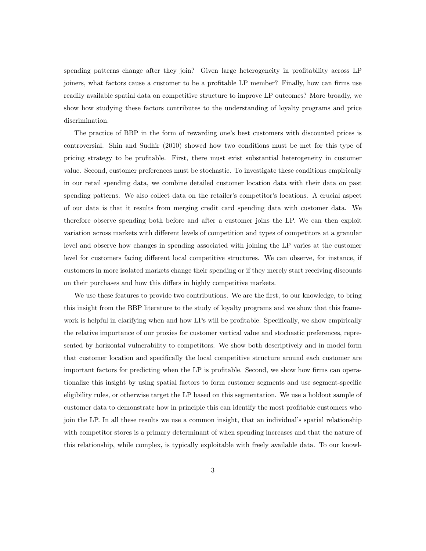spending patterns change after they join? Given large heterogeneity in profitability across LP joiners, what factors cause a customer to be a profitable LP member? Finally, how can firms use readily available spatial data on competitive structure to improve LP outcomes? More broadly, we show how studying these factors contributes to the understanding of loyalty programs and price discrimination.

The practice of BBP in the form of rewarding one's best customers with discounted prices is controversial. Shin and Sudhir (2010) showed how two conditions must be met for this type of pricing strategy to be profitable. First, there must exist substantial heterogeneity in customer value. Second, customer preferences must be stochastic. To investigate these conditions empirically in our retail spending data, we combine detailed customer location data with their data on past spending patterns. We also collect data on the retailer's competitor's locations. A crucial aspect of our data is that it results from merging credit card spending data with customer data. We therefore observe spending both before and after a customer joins the LP. We can then exploit variation across markets with different levels of competition and types of competitors at a granular level and observe how changes in spending associated with joining the LP varies at the customer level for customers facing different local competitive structures. We can observe, for instance, if customers in more isolated markets change their spending or if they merely start receiving discounts on their purchases and how this differs in highly competitive markets.

We use these features to provide two contributions. We are the first, to our knowledge, to bring this insight from the BBP literature to the study of loyalty programs and we show that this framework is helpful in clarifying when and how LPs will be profitable. Specifically, we show empirically the relative importance of our proxies for customer vertical value and stochastic preferences, represented by horizontal vulnerability to competitors. We show both descriptively and in model form that customer location and specifically the local competitive structure around each customer are important factors for predicting when the LP is profitable. Second, we show how firms can operationalize this insight by using spatial factors to form customer segments and use segment-specific eligibility rules, or otherwise target the LP based on this segmentation. We use a holdout sample of customer data to demonstrate how in principle this can identify the most profitable customers who join the LP. In all these results we use a common insight, that an individual's spatial relationship with competitor stores is a primary determinant of when spending increases and that the nature of this relationship, while complex, is typically exploitable with freely available data. To our knowl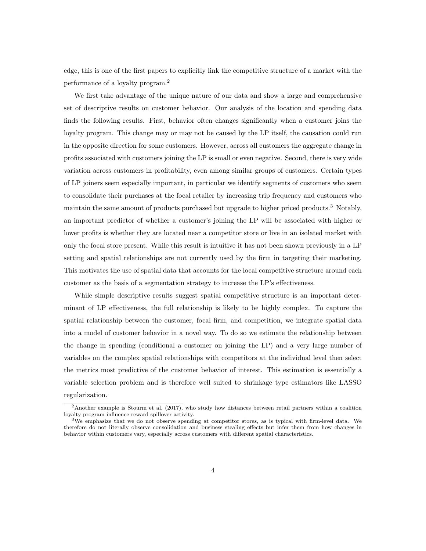edge, this is one of the first papers to explicitly link the competitive structure of a market with the performance of a loyalty program.<sup>2</sup>

We first take advantage of the unique nature of our data and show a large and comprehensive set of descriptive results on customer behavior. Our analysis of the location and spending data finds the following results. First, behavior often changes significantly when a customer joins the loyalty program. This change may or may not be caused by the LP itself, the causation could run in the opposite direction for some customers. However, across all customers the aggregate change in profits associated with customers joining the LP is small or even negative. Second, there is very wide variation across customers in profitability, even among similar groups of customers. Certain types of LP joiners seem especially important, in particular we identify segments of customers who seem to consolidate their purchases at the focal retailer by increasing trip frequency and customers who maintain the same amount of products purchased but upgrade to higher priced products.<sup>3</sup> Notably, an important predictor of whether a customer's joining the LP will be associated with higher or lower profits is whether they are located near a competitor store or live in an isolated market with only the focal store present. While this result is intuitive it has not been shown previously in a LP setting and spatial relationships are not currently used by the firm in targeting their marketing. This motivates the use of spatial data that accounts for the local competitive structure around each customer as the basis of a segmentation strategy to increase the LP's effectiveness.

While simple descriptive results suggest spatial competitive structure is an important determinant of LP effectiveness, the full relationship is likely to be highly complex. To capture the spatial relationship between the customer, focal firm, and competition, we integrate spatial data into a model of customer behavior in a novel way. To do so we estimate the relationship between the change in spending (conditional a customer on joining the LP) and a very large number of variables on the complex spatial relationships with competitors at the individual level then select the metrics most predictive of the customer behavior of interest. This estimation is essentially a variable selection problem and is therefore well suited to shrinkage type estimators like LASSO regularization.

<sup>2</sup>Another example is Stourm et al. (2017), who study how distances between retail partners within a coalition loyalty program influence reward spillover activity.

 $3W$ e emphasize that we do not observe spending at competitor stores, as is typical with firm-level data. We therefore do not literally observe consolidation and business stealing effects but infer them from how changes in behavior within customers vary, especially across customers with different spatial characteristics.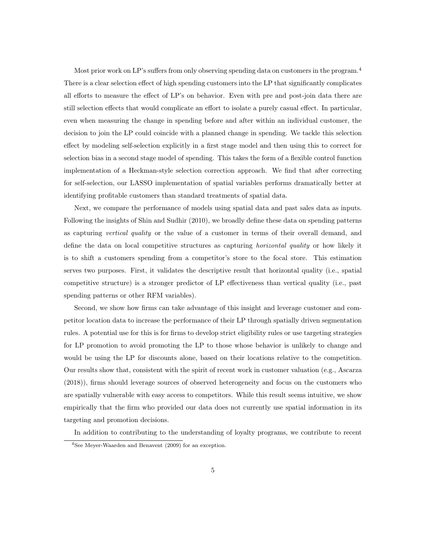Most prior work on LP's suffers from only observing spending data on customers in the program.<sup>4</sup> There is a clear selection effect of high spending customers into the LP that significantly complicates all efforts to measure the effect of LP's on behavior. Even with pre and post-join data there are still selection effects that would complicate an effort to isolate a purely casual effect. In particular, even when measuring the change in spending before and after within an individual customer, the decision to join the LP could coincide with a planned change in spending. We tackle this selection effect by modeling self-selection explicitly in a first stage model and then using this to correct for selection bias in a second stage model of spending. This takes the form of a flexible control function implementation of a Heckman-style selection correction approach. We find that after correcting for self-selection, our LASSO implementation of spatial variables performs dramatically better at identifying profitable customers than standard treatments of spatial data.

Next, we compare the performance of models using spatial data and past sales data as inputs. Following the insights of Shin and Sudhir (2010), we broadly define these data on spending patterns as capturing vertical quality or the value of a customer in terms of their overall demand, and define the data on local competitive structures as capturing horizontal quality or how likely it is to shift a customers spending from a competitor's store to the focal store. This estimation serves two purposes. First, it validates the descriptive result that horizontal quality (i.e., spatial competitive structure) is a stronger predictor of LP effectiveness than vertical quality (i.e., past spending patterns or other RFM variables).

Second, we show how firms can take advantage of this insight and leverage customer and competitor location data to increase the performance of their LP through spatially driven segmentation rules. A potential use for this is for firms to develop strict eligibility rules or use targeting strategies for LP promotion to avoid promoting the LP to those whose behavior is unlikely to change and would be using the LP for discounts alone, based on their locations relative to the competition. Our results show that, consistent with the spirit of recent work in customer valuation (e.g., Ascarza (2018)), firms should leverage sources of observed heterogeneity and focus on the customers who are spatially vulnerable with easy access to competitors. While this result seems intuitive, we show empirically that the firm who provided our data does not currently use spatial information in its targeting and promotion decisions.

In addition to contributing to the understanding of loyalty programs, we contribute to recent

<sup>4</sup>See Meyer-Waarden and Benavent (2009) for an exception.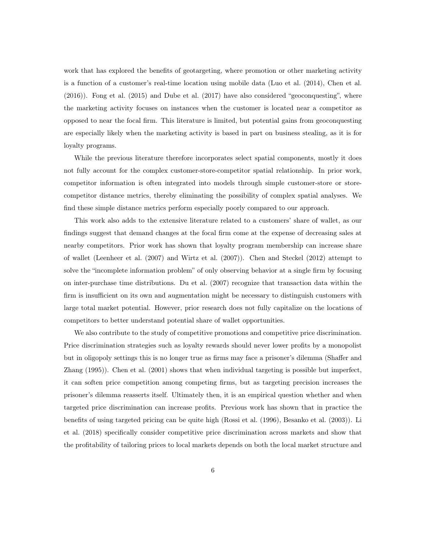work that has explored the benefits of geotargeting, where promotion or other marketing activity is a function of a customer's real-time location using mobile data (Luo et al. (2014), Chen et al. (2016)). Fong et al. (2015) and Dube et al. (2017) have also considered "geoconquesting", where the marketing activity focuses on instances when the customer is located near a competitor as opposed to near the focal firm. This literature is limited, but potential gains from geoconquesting are especially likely when the marketing activity is based in part on business stealing, as it is for loyalty programs.

While the previous literature therefore incorporates select spatial components, mostly it does not fully account for the complex customer-store-competitor spatial relationship. In prior work, competitor information is often integrated into models through simple customer-store or storecompetitor distance metrics, thereby eliminating the possibility of complex spatial analyses. We find these simple distance metrics perform especially poorly compared to our approach.

This work also adds to the extensive literature related to a customers' share of wallet, as our findings suggest that demand changes at the focal firm come at the expense of decreasing sales at nearby competitors. Prior work has shown that loyalty program membership can increase share of wallet (Leenheer et al. (2007) and Wirtz et al. (2007)). Chen and Steckel (2012) attempt to solve the "incomplete information problem" of only observing behavior at a single firm by focusing on inter-purchase time distributions. Du et al. (2007) recognize that transaction data within the firm is insufficient on its own and augmentation might be necessary to distinguish customers with large total market potential. However, prior research does not fully capitalize on the locations of competitors to better understand potential share of wallet opportunities.

We also contribute to the study of competitive promotions and competitive price discrimination. Price discrimination strategies such as loyalty rewards should never lower profits by a monopolist but in oligopoly settings this is no longer true as firms may face a prisoner's dilemma (Shaffer and Zhang (1995)). Chen et al. (2001) shows that when individual targeting is possible but imperfect, it can soften price competition among competing firms, but as targeting precision increases the prisoner's dilemma reasserts itself. Ultimately then, it is an empirical question whether and when targeted price discrimination can increase profits. Previous work has shown that in practice the benefits of using targeted pricing can be quite high (Rossi et al. (1996), Besanko et al. (2003)). Li et al. (2018) specifically consider competitive price discrimination across markets and show that the profitability of tailoring prices to local markets depends on both the local market structure and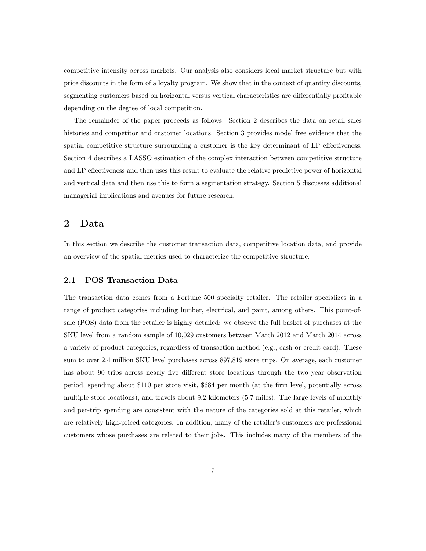competitive intensity across markets. Our analysis also considers local market structure but with price discounts in the form of a loyalty program. We show that in the context of quantity discounts, segmenting customers based on horizontal versus vertical characteristics are differentially profitable depending on the degree of local competition.

The remainder of the paper proceeds as follows. Section 2 describes the data on retail sales histories and competitor and customer locations. Section 3 provides model free evidence that the spatial competitive structure surrounding a customer is the key determinant of LP effectiveness. Section 4 describes a LASSO estimation of the complex interaction between competitive structure and LP effectiveness and then uses this result to evaluate the relative predictive power of horizontal and vertical data and then use this to form a segmentation strategy. Section 5 discusses additional managerial implications and avenues for future research.

## 2 Data

In this section we describe the customer transaction data, competitive location data, and provide an overview of the spatial metrics used to characterize the competitive structure.

#### 2.1 POS Transaction Data

The transaction data comes from a Fortune 500 specialty retailer. The retailer specializes in a range of product categories including lumber, electrical, and paint, among others. This point-ofsale (POS) data from the retailer is highly detailed: we observe the full basket of purchases at the SKU level from a random sample of 10,029 customers between March 2012 and March 2014 across a variety of product categories, regardless of transaction method (e.g., cash or credit card). These sum to over 2.4 million SKU level purchases across 897,819 store trips. On average, each customer has about 90 trips across nearly five different store locations through the two year observation period, spending about \$110 per store visit, \$684 per month (at the firm level, potentially across multiple store locations), and travels about 9.2 kilometers (5.7 miles). The large levels of monthly and per-trip spending are consistent with the nature of the categories sold at this retailer, which are relatively high-priced categories. In addition, many of the retailer's customers are professional customers whose purchases are related to their jobs. This includes many of the members of the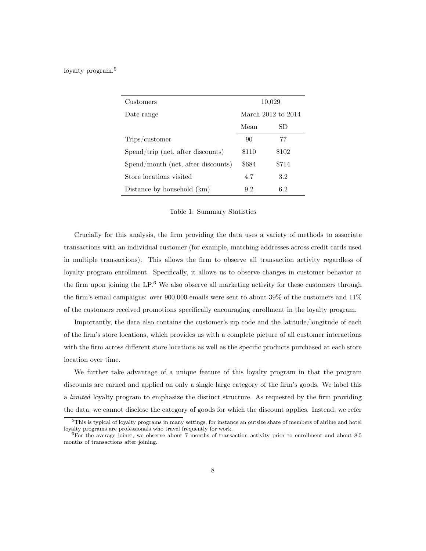loyalty program.<sup>5</sup>

| Customers                           |       | 10,029             |
|-------------------------------------|-------|--------------------|
| Date range                          |       | March 2012 to 2014 |
|                                     | Mean  | SD                 |
| Trips/customer                      | 90    | 77                 |
| $Spend/trip$ (net, after discounts) | \$110 | \$102              |
| Spend/month (net, after discounts)  | \$684 | \$714              |
| Store locations visited             | 4.7   | 3.2                |
| Distance by household (km)          | 9.2   | 6.2                |

#### Table 1: Summary Statistics

Crucially for this analysis, the firm providing the data uses a variety of methods to associate transactions with an individual customer (for example, matching addresses across credit cards used in multiple transactions). This allows the firm to observe all transaction activity regardless of loyalty program enrollment. Specifically, it allows us to observe changes in customer behavior at the firm upon joining the  $LP<sup>6</sup>$ . We also observe all marketing activity for these customers through the firm's email campaigns: over 900,000 emails were sent to about 39% of the customers and 11% of the customers received promotions specifically encouraging enrollment in the loyalty program.

Importantly, the data also contains the customer's zip code and the latitude/longitude of each of the firm's store locations, which provides us with a complete picture of all customer interactions with the firm across different store locations as well as the specific products purchased at each store location over time.

We further take advantage of a unique feature of this loyalty program in that the program discounts are earned and applied on only a single large category of the firm's goods. We label this a limited loyalty program to emphasize the distinct structure. As requested by the firm providing the data, we cannot disclose the category of goods for which the discount applies. Instead, we refer

<sup>5</sup>This is typical of loyalty programs in many settings, for instance an outsize share of members of airline and hotel loyalty programs are professionals who travel frequently for work.

 $6$ For the average joiner, we observe about 7 months of transaction activity prior to enrollment and about 8.5 months of transactions after joining.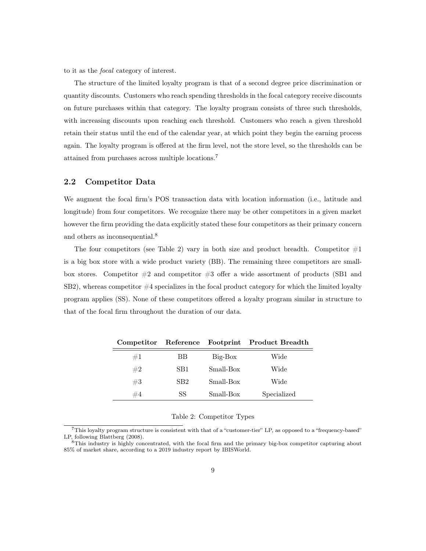to it as the focal category of interest.

The structure of the limited loyalty program is that of a second degree price discrimination or quantity discounts. Customers who reach spending thresholds in the focal category receive discounts on future purchases within that category. The loyalty program consists of three such thresholds, with increasing discounts upon reaching each threshold. Customers who reach a given threshold retain their status until the end of the calendar year, at which point they begin the earning process again. The loyalty program is offered at the firm level, not the store level, so the thresholds can be attained from purchases across multiple locations.<sup>7</sup>

### 2.2 Competitor Data

We augment the focal firm's POS transaction data with location information (i.e., latitude and longitude) from four competitors. We recognize there may be other competitors in a given market however the firm providing the data explicitly stated these four competitors as their primary concern and others as inconsequential.<sup>8</sup>

The four competitors (see Table 2) vary in both size and product breadth. Competitor  $#1$ is a big box store with a wide product variety (BB). The remaining three competitors are smallbox stores. Competitor  $#2$  and competitor  $#3$  offer a wide assortment of products (SB1 and  $S<sub>B2</sub>$ ), whereas competitor  $#4$  specializes in the focal product category for which the limited loyalty program applies (SS). None of these competitors offered a loyalty program similar in structure to that of the focal firm throughout the duration of our data.

|    |                 |           | Competitor Reference Footprint Product Breadth |
|----|-----------------|-----------|------------------------------------------------|
| #1 | ВB              | $Big-Box$ | Wide                                           |
| #2 | SB1             | Small-Box | Wide                                           |
| #3 | SB <sub>2</sub> | Small-Box | Wide                                           |
| #4 | SS              | Small-Box | Specialized                                    |

Table 2: Competitor Types

<sup>7</sup>This loyalty program structure is consistent with that of a "customer-tier" LP, as opposed to a "frequency-based" LP, following Blattberg (2008).

<sup>8</sup>This industry is highly concentrated, with the focal firm and the primary big-box competitor capturing about 85% of market share, according to a 2019 industry report by IBISWorld.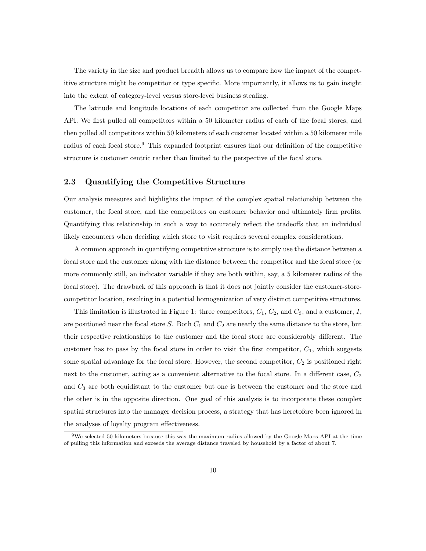The variety in the size and product breadth allows us to compare how the impact of the competitive structure might be competitor or type specific. More importantly, it allows us to gain insight into the extent of category-level versus store-level business stealing.

The latitude and longitude locations of each competitor are collected from the Google Maps API. We first pulled all competitors within a 50 kilometer radius of each of the focal stores, and then pulled all competitors within 50 kilometers of each customer located within a 50 kilometer mile radius of each focal store.<sup>9</sup> This expanded footprint ensures that our definition of the competitive structure is customer centric rather than limited to the perspective of the focal store.

#### 2.3 Quantifying the Competitive Structure

Our analysis measures and highlights the impact of the complex spatial relationship between the customer, the focal store, and the competitors on customer behavior and ultimately firm profits. Quantifying this relationship in such a way to accurately reflect the tradeoffs that an individual likely encounters when deciding which store to visit requires several complex considerations.

A common approach in quantifying competitive structure is to simply use the distance between a focal store and the customer along with the distance between the competitor and the focal store (or more commonly still, an indicator variable if they are both within, say, a 5 kilometer radius of the focal store). The drawback of this approach is that it does not jointly consider the customer-storecompetitor location, resulting in a potential homogenization of very distinct competitive structures.

This limitation is illustrated in Figure 1: three competitors,  $C_1$ ,  $C_2$ , and  $C_3$ , and a customer,  $I$ , are positioned near the focal store  $S$ . Both  $C_1$  and  $C_2$  are nearly the same distance to the store, but their respective relationships to the customer and the focal store are considerably different. The customer has to pass by the focal store in order to visit the first competitor,  $C_1$ , which suggests some spatial advantage for the focal store. However, the second competitor,  $C_2$  is positioned right next to the customer, acting as a convenient alternative to the focal store. In a different case,  $C_2$ and  $C_3$  are both equidistant to the customer but one is between the customer and the store and the other is in the opposite direction. One goal of this analysis is to incorporate these complex spatial structures into the manager decision process, a strategy that has heretofore been ignored in the analyses of loyalty program effectiveness.

<sup>9</sup>We selected 50 kilometers because this was the maximum radius allowed by the Google Maps API at the time of pulling this information and exceeds the average distance traveled by household by a factor of about 7.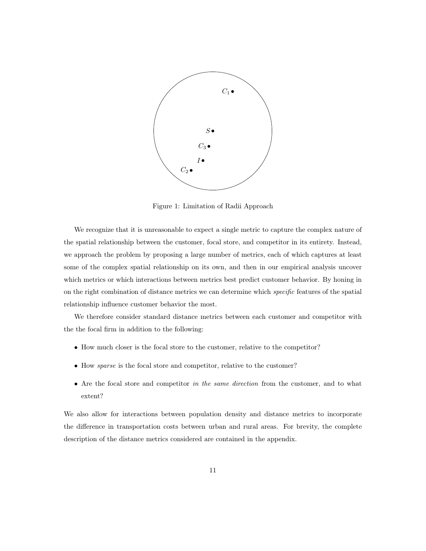

Figure 1: Limitation of Radii Approach

We recognize that it is unreasonable to expect a single metric to capture the complex nature of the spatial relationship between the customer, focal store, and competitor in its entirety. Instead, we approach the problem by proposing a large number of metrics, each of which captures at least some of the complex spatial relationship on its own, and then in our empirical analysis uncover which metrics or which interactions between metrics best predict customer behavior. By honing in on the right combination of distance metrics we can determine which specific features of the spatial relationship influence customer behavior the most.

We therefore consider standard distance metrics between each customer and competitor with the the focal firm in addition to the following:

- How much closer is the focal store to the customer, relative to the competitor?
- How *sparse* is the focal store and competitor, relative to the customer?
- Are the focal store and competitor in the same direction from the customer, and to what extent?

We also allow for interactions between population density and distance metrics to incorporate the difference in transportation costs between urban and rural areas. For brevity, the complete description of the distance metrics considered are contained in the appendix.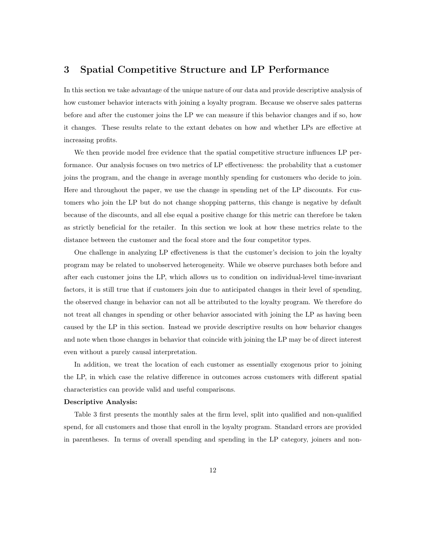## 3 Spatial Competitive Structure and LP Performance

In this section we take advantage of the unique nature of our data and provide descriptive analysis of how customer behavior interacts with joining a loyalty program. Because we observe sales patterns before and after the customer joins the LP we can measure if this behavior changes and if so, how it changes. These results relate to the extant debates on how and whether LPs are effective at increasing profits.

We then provide model free evidence that the spatial competitive structure influences LP performance. Our analysis focuses on two metrics of LP effectiveness: the probability that a customer joins the program, and the change in average monthly spending for customers who decide to join. Here and throughout the paper, we use the change in spending net of the LP discounts. For customers who join the LP but do not change shopping patterns, this change is negative by default because of the discounts, and all else equal a positive change for this metric can therefore be taken as strictly beneficial for the retailer. In this section we look at how these metrics relate to the distance between the customer and the focal store and the four competitor types.

One challenge in analyzing LP effectiveness is that the customer's decision to join the loyalty program may be related to unobserved heterogeneity. While we observe purchases both before and after each customer joins the LP, which allows us to condition on individual-level time-invariant factors, it is still true that if customers join due to anticipated changes in their level of spending, the observed change in behavior can not all be attributed to the loyalty program. We therefore do not treat all changes in spending or other behavior associated with joining the LP as having been caused by the LP in this section. Instead we provide descriptive results on how behavior changes and note when those changes in behavior that coincide with joining the LP may be of direct interest even without a purely causal interpretation.

In addition, we treat the location of each customer as essentially exogenous prior to joining the LP, in which case the relative difference in outcomes across customers with different spatial characteristics can provide valid and useful comparisons.

#### Descriptive Analysis:

Table 3 first presents the monthly sales at the firm level, split into qualified and non-qualified spend, for all customers and those that enroll in the loyalty program. Standard errors are provided in parentheses. In terms of overall spending and spending in the LP category, joiners and non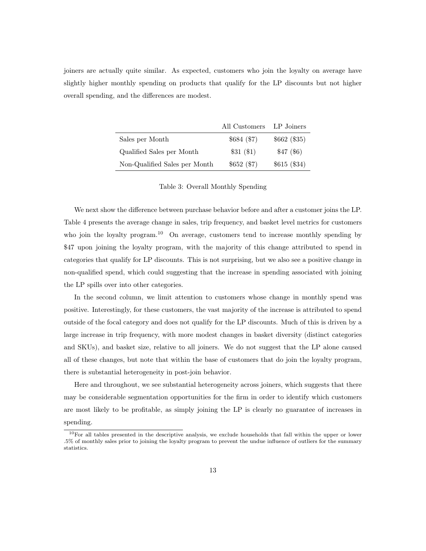joiners are actually quite similar. As expected, customers who join the loyalty on average have slightly higher monthly spending on products that qualify for the LP discounts but not higher overall spending, and the differences are modest.

|                               | All Customers LP Joiners |              |
|-------------------------------|--------------------------|--------------|
| Sales per Month               | \$684(\$7)               | \$662 (\$35) |
| Qualified Sales per Month     | \$31(\$1)                | $$47($ \$6)  |
| Non-Qualified Sales per Month | \$652(\$7)               | \$615 (\$34) |

Table 3: Overall Monthly Spending

We next show the difference between purchase behavior before and after a customer joins the LP. Table 4 presents the average change in sales, trip frequency, and basket level metrics for customers who join the loyalty program.<sup>10</sup> On average, customers tend to increase monthly spending by \$47 upon joining the loyalty program, with the majority of this change attributed to spend in categories that qualify for LP discounts. This is not surprising, but we also see a positive change in non-qualified spend, which could suggesting that the increase in spending associated with joining the LP spills over into other categories.

In the second column, we limit attention to customers whose change in monthly spend was positive. Interestingly, for these customers, the vast majority of the increase is attributed to spend outside of the focal category and does not qualify for the LP discounts. Much of this is driven by a large increase in trip frequency, with more modest changes in basket diversity (distinct categories and SKUs), and basket size, relative to all joiners. We do not suggest that the LP alone caused all of these changes, but note that within the base of customers that do join the loyalty program, there is substantial heterogeneity in post-join behavior.

Here and throughout, we see substantial heterogeneity across joiners, which suggests that there may be considerable segmentation opportunities for the firm in order to identify which customers are most likely to be profitable, as simply joining the LP is clearly no guarantee of increases in

#### spending.

<sup>10</sup>For all tables presented in the descriptive analysis, we exclude households that fall within the upper or lower .5% of monthly sales prior to joining the loyalty program to prevent the undue influence of outliers for the summary statistics.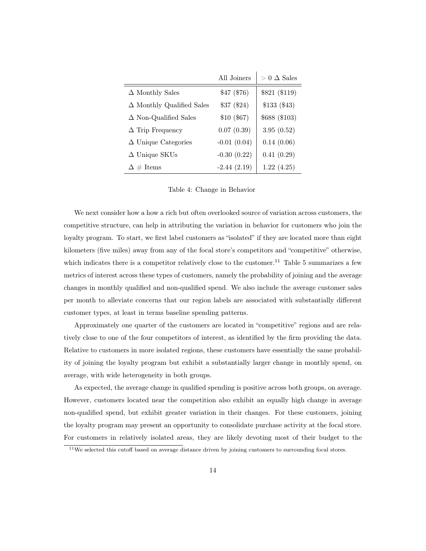|                                     | All Joiners   | $> 0 \triangle$ Sales |
|-------------------------------------|---------------|-----------------------|
| $\Delta$ Monthly Sales              | \$47(\$76)    | \$821 (\$119)         |
| $\Delta$ Monthly Qualified Sales    | \$37(\$24)    | \$133(\$43)           |
| $\Delta$ Non-Qualified Sales        | \$10(\$67)    | \$688 (\$103)         |
| $\Delta$ Trip Frequency             | 0.07(0.39)    | 3.95(0.52)            |
| $\Delta$ Unique Categories          | $-0.01(0.04)$ | 0.14(0.06)            |
| $\Delta$ Unique SKUs                | $-0.30(0.22)$ | 0.41(0.29)            |
| $\Delta \text{ } \# \text{ }$ Items | $-2.44(2.19)$ | 1.22(4.25)            |

Table 4: Change in Behavior

We next consider how a how a rich but often overlooked source of variation across customers, the competitive structure, can help in attributing the variation in behavior for customers who join the loyalty program. To start, we first label customers as "isolated" if they are located more than eight kilometers (five miles) away from any of the focal store's competitors and "competitive" otherwise, which indicates there is a competitor relatively close to the customer.<sup>11</sup> Table 5 summarizes a few metrics of interest across these types of customers, namely the probability of joining and the average changes in monthly qualified and non-qualified spend. We also include the average customer sales per month to alleviate concerns that our region labels are associated with substantially different customer types, at least in terms baseline spending patterns.

Approximately one quarter of the customers are located in "competitive" regions and are relatively close to one of the four competitors of interest, as identified by the firm providing the data. Relative to customers in more isolated regions, these customers have essentially the same probability of joining the loyalty program but exhibit a substantially larger change in monthly spend, on average, with wide heterogeneity in both groups.

As expected, the average change in qualified spending is positive across both groups, on average. However, customers located near the competition also exhibit an equally high change in average non-qualified spend, but exhibit greater variation in their changes. For these customers, joining the loyalty program may present an opportunity to consolidate purchase activity at the focal store. For customers in relatively isolated areas, they are likely devoting most of their budget to the

 $11$ We selected this cutoff based on average distance driven by joining customers to surrounding focal stores.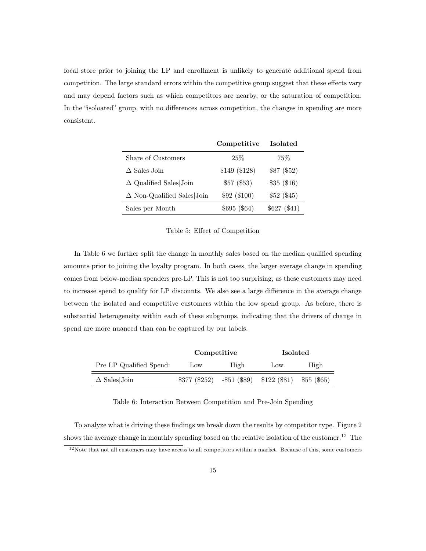focal store prior to joining the LP and enrollment is unlikely to generate additional spend from competition. The large standard errors within the competitive group suggest that these effects vary and may depend factors such as which competitors are nearby, or the saturation of competition. In the "isoloated" group, with no differences across competition, the changes in spending are more consistent.

|                                   | Competitive   | <b>Isolated</b> |
|-----------------------------------|---------------|-----------------|
| Share of Customers                | 25%           | 75%             |
| $\Delta$ Sales Join               | \$149 (\$128) | \$87 (\$52)     |
| $\Delta$ Qualified Sales Join     | \$57(\$53)    | \$35(\$16)      |
| $\Delta$ Non-Qualified Sales Join | \$92 (\$100)  | \$52(\$45)      |
| Sales per Month                   | \$695(\$64)   | \$627 (\$41)    |

#### Table 5: Effect of Competition

In Table 6 we further split the change in monthly sales based on the median qualified spending amounts prior to joining the loyalty program. In both cases, the larger average change in spending comes from below-median spenders pre-LP. This is not too surprising, as these customers may need to increase spend to qualify for LP discounts. We also see a large difference in the average change between the isolated and competitive customers within the low spend group. As before, there is substantial heterogeneity within each of these subgroups, indicating that the drivers of change in spend are more nuanced than can be captured by our labels.

|                         | Competitive   |      | <b>Isolated</b>              |             |
|-------------------------|---------------|------|------------------------------|-------------|
| Pre LP Qualified Spend: | Low           | High | $_{\text{LOW}}$              | High        |
| $\Delta$ Sales Join     | \$377 (\$252) |      | $-$ \$51 (\$89) \$122 (\$81) | \$55 (\$65) |

Table 6: Interaction Between Competition and Pre-Join Spending

To analyze what is driving these findings we break down the results by competitor type. Figure 2 shows the average change in monthly spending based on the relative isolation of the customer.<sup>12</sup> The

 $12$ Note that not all customers may have access to all competitors within a market. Because of this, some customers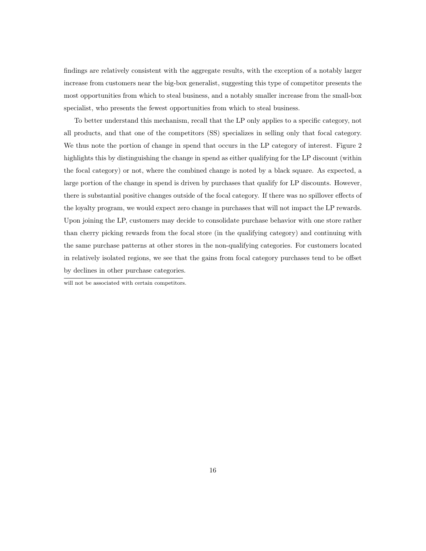findings are relatively consistent with the aggregate results, with the exception of a notably larger increase from customers near the big-box generalist, suggesting this type of competitor presents the most opportunities from which to steal business, and a notably smaller increase from the small-box specialist, who presents the fewest opportunities from which to steal business.

To better understand this mechanism, recall that the LP only applies to a specific category, not all products, and that one of the competitors (SS) specializes in selling only that focal category. We thus note the portion of change in spend that occurs in the LP category of interest. Figure 2 highlights this by distinguishing the change in spend as either qualifying for the LP discount (within the focal category) or not, where the combined change is noted by a black square. As expected, a large portion of the change in spend is driven by purchases that qualify for LP discounts. However, there is substantial positive changes outside of the focal category. If there was no spillover effects of the loyalty program, we would expect zero change in purchases that will not impact the LP rewards. Upon joining the LP, customers may decide to consolidate purchase behavior with one store rather than cherry picking rewards from the focal store (in the qualifying category) and continuing with the same purchase patterns at other stores in the non-qualifying categories. For customers located in relatively isolated regions, we see that the gains from focal category purchases tend to be offset by declines in other purchase categories.

will not be associated with certain competitors.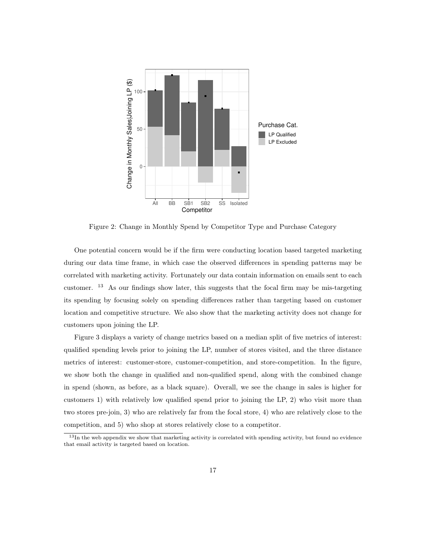

Figure 2: Change in Monthly Spend by Competitor Type and Purchase Category

One potential concern would be if the firm were conducting location based targeted marketing during our data time frame, in which case the observed differences in spending patterns may be correlated with marketing activity. Fortunately our data contain information on emails sent to each customer.  $13$  As our findings show later, this suggests that the focal firm may be mis-targeting its spending by focusing solely on spending differences rather than targeting based on customer location and competitive structure. We also show that the marketing activity does not change for customers upon joining the LP.

Figure 3 displays a variety of change metrics based on a median split of five metrics of interest: qualified spending levels prior to joining the LP, number of stores visited, and the three distance metrics of interest: customer-store, customer-competition, and store-competition. In the figure, we show both the change in qualified and non-qualified spend, along with the combined change in spend (shown, as before, as a black square). Overall, we see the change in sales is higher for customers 1) with relatively low qualified spend prior to joining the LP, 2) who visit more than two stores pre-join, 3) who are relatively far from the focal store, 4) who are relatively close to the competition, and 5) who shop at stores relatively close to a competitor.

 $13$ In the web appendix we show that marketing activity is correlated with spending activity, but found no evidence that email activity is targeted based on location.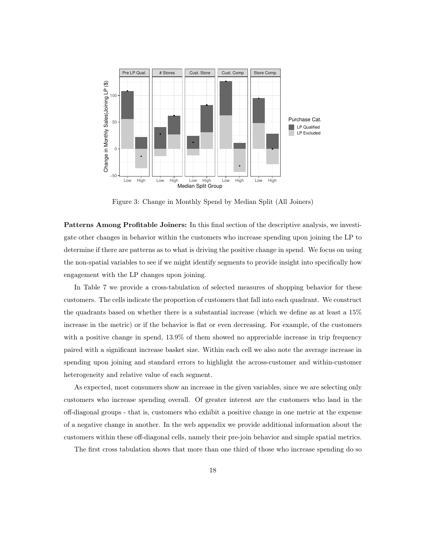

Figure 3: Change in Monthly Spend by Median Split (All Joiners)

Patterns Among Profitable Joiners: In this final section of the descriptive analysis, we investigate other changes in behavior within the customers who increase spending upon joining the LP to determine if there are patterns as to what is driving the positive change in spend. We focus on using the non-spatial variables to see if we might identify segments to provide insight into specifically how engagement with the LP changes upon joining.

In Table 7 we provide a cross-tabulation of selected measures of shopping behavior for these customers. The cells indicate the proportion of customers that fall into each quadrant. We construct the quadrants based on whether there is a substantial increase (which we define as at least a 15% increase in the metric) or if the behavior is flat or even decreasing. For example, of the customers with a positive change in spend,  $13.9\%$  of them showed no appreciable increase in trip frequency paired with a significant increase basket size. Within each cell we also note the average increase in spending upon joining and standard errors to highlight the across-customer and within-customer heterogeneity and relative value of each segment.

As expected, most consumers show an increase in the given variables, since we are selecting only customers who increase spending overall. Of greater interest are the customers who land in the off-diagonal groups - that is, customers who exhibit a positive change in one metric at the expense of a negative change in another. In the web appendix we provide additional information about the customers within these off-diagonal cells, namely their pre-join behavior and simple spatial metrics.

The first cross tabulation shows that more than one third of those who increase spending do so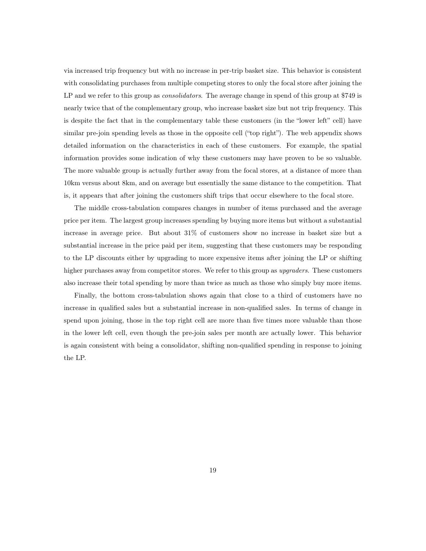via increased trip frequency but with no increase in per-trip basket size. This behavior is consistent with consolidating purchases from multiple competing stores to only the focal store after joining the LP and we refer to this group as *consolidators*. The average change in spend of this group at \$749 is nearly twice that of the complementary group, who increase basket size but not trip frequency. This is despite the fact that in the complementary table these customers (in the "lower left" cell) have similar pre-join spending levels as those in the opposite cell ("top right"). The web appendix shows detailed information on the characteristics in each of these customers. For example, the spatial information provides some indication of why these customers may have proven to be so valuable. The more valuable group is actually further away from the focal stores, at a distance of more than 10km versus about 8km, and on average but essentially the same distance to the competition. That is, it appears that after joining the customers shift trips that occur elsewhere to the focal store.

The middle cross-tabulation compares changes in number of items purchased and the average price per item. The largest group increases spending by buying more items but without a substantial increase in average price. But about 31% of customers show no increase in basket size but a substantial increase in the price paid per item, suggesting that these customers may be responding to the LP discounts either by upgrading to more expensive items after joining the LP or shifting higher purchases away from competitor stores. We refer to this group as upgraders. These customers also increase their total spending by more than twice as much as those who simply buy more items.

Finally, the bottom cross-tabulation shows again that close to a third of customers have no increase in qualified sales but a substantial increase in non-qualified sales. In terms of change in spend upon joining, those in the top right cell are more than five times more valuable than those in the lower left cell, even though the pre-join sales per month are actually lower. This behavior is again consistent with being a consolidator, shifting non-qualified spending in response to joining the LP.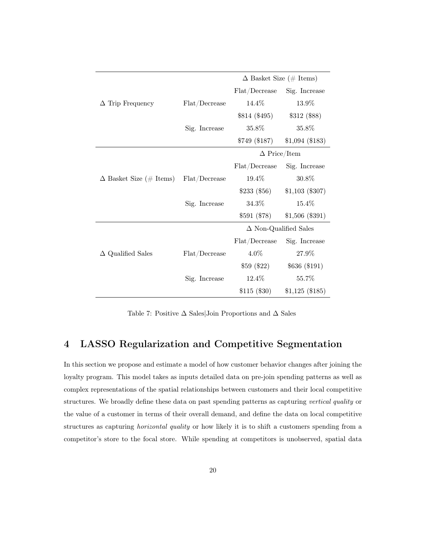|                                |               | $\Delta$ Basket Size (# Items) |                  |
|--------------------------------|---------------|--------------------------------|------------------|
|                                |               | ${\rm Flat}/{\rm Decrease}$    | Sig. Increase    |
| $\Delta$ Trip Frequency        | Flat/Decrease | 14.4%                          | 13.9%            |
|                                |               | \$814 (\$495)                  | \$312 (\$88)     |
|                                | Sig. Increase | 35.8%                          | 35.8%            |
|                                |               | $$749$ (\$187)                 | $$1,094$ (\$183) |
|                                |               | $\Delta$ Price/Item            |                  |
|                                |               | Flat/Decrease                  | Sig. Increase    |
| $\Delta$ Basket Size (# Items) | Flat/Decrease | 19.4%                          | 30.8%            |
|                                |               | \$233(\$56)                    | $$1,103$ (\$307) |
|                                | Sig. Increase | 34.3%                          | 15.4\%           |
|                                |               | \$591 (\$78)                   | \$1,506 (\$391)  |
|                                |               | $\Delta$ Non-Qualified Sales   |                  |
|                                |               | Flat/Decrease                  | Sig. Increase    |
| $\Delta$ Qualified Sales       | Flat/Decrease | $4.0\%$                        | 27.9%            |
|                                |               | \$59(\$22)                     | \$636 (\$191)    |
|                                | Sig. Increase | 12.4\%                         | 55.7%            |
|                                |               | \$115(\$30)                    | $$1,125$ (\$185) |

Table 7: Positive  $\Delta$  Sales|Join Proportions and  $\Delta$  Sales

## 4 LASSO Regularization and Competitive Segmentation

In this section we propose and estimate a model of how customer behavior changes after joining the loyalty program. This model takes as inputs detailed data on pre-join spending patterns as well as complex representations of the spatial relationships between customers and their local competitive structures. We broadly define these data on past spending patterns as capturing vertical quality or the value of a customer in terms of their overall demand, and define the data on local competitive structures as capturing *horizontal quality* or how likely it is to shift a customers spending from a competitor's store to the focal store. While spending at competitors is unobserved, spatial data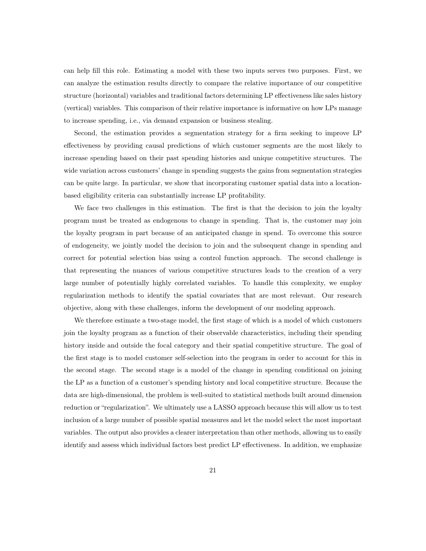can help fill this role. Estimating a model with these two inputs serves two purposes. First, we can analyze the estimation results directly to compare the relative importance of our competitive structure (horizontal) variables and traditional factors determining LP effectiveness like sales history (vertical) variables. This comparison of their relative importance is informative on how LPs manage to increase spending, i.e., via demand expansion or business stealing.

Second, the estimation provides a segmentation strategy for a firm seeking to improve LP effectiveness by providing causal predictions of which customer segments are the most likely to increase spending based on their past spending histories and unique competitive structures. The wide variation across customers' change in spending suggests the gains from segmentation strategies can be quite large. In particular, we show that incorporating customer spatial data into a locationbased eligibility criteria can substantially increase LP profitability.

We face two challenges in this estimation. The first is that the decision to join the loyalty program must be treated as endogenous to change in spending. That is, the customer may join the loyalty program in part because of an anticipated change in spend. To overcome this source of endogeneity, we jointly model the decision to join and the subsequent change in spending and correct for potential selection bias using a control function approach. The second challenge is that representing the nuances of various competitive structures leads to the creation of a very large number of potentially highly correlated variables. To handle this complexity, we employ regularization methods to identify the spatial covariates that are most relevant. Our research objective, along with these challenges, inform the development of our modeling approach.

We therefore estimate a two-stage model, the first stage of which is a model of which customers join the loyalty program as a function of their observable characteristics, including their spending history inside and outside the focal category and their spatial competitive structure. The goal of the first stage is to model customer self-selection into the program in order to account for this in the second stage. The second stage is a model of the change in spending conditional on joining the LP as a function of a customer's spending history and local competitive structure. Because the data are high-dimensional, the problem is well-suited to statistical methods built around dimension reduction or "regularization". We ultimately use a LASSO approach because this will allow us to test inclusion of a large number of possible spatial measures and let the model select the most important variables. The output also provides a clearer interpretation than other methods, allowing us to easily identify and assess which individual factors best predict LP effectiveness. In addition, we emphasize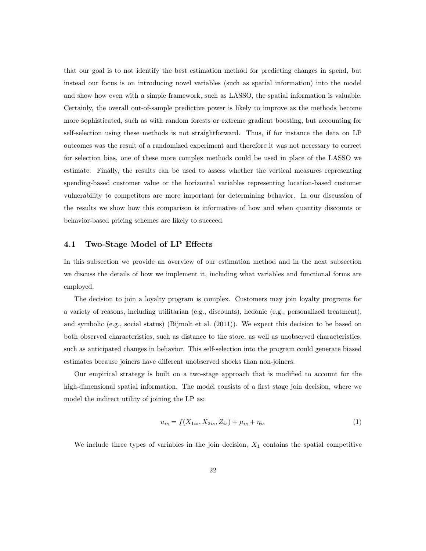that our goal is to not identify the best estimation method for predicting changes in spend, but instead our focus is on introducing novel variables (such as spatial information) into the model and show how even with a simple framework, such as LASSO, the spatial information is valuable. Certainly, the overall out-of-sample predictive power is likely to improve as the methods become more sophisticated, such as with random forests or extreme gradient boosting, but accounting for self-selection using these methods is not straightforward. Thus, if for instance the data on LP outcomes was the result of a randomized experiment and therefore it was not necessary to correct for selection bias, one of these more complex methods could be used in place of the LASSO we estimate. Finally, the results can be used to assess whether the vertical measures representing spending-based customer value or the horizontal variables representing location-based customer vulnerability to competitors are more important for determining behavior. In our discussion of the results we show how this comparison is informative of how and when quantity discounts or behavior-based pricing schemes are likely to succeed.

#### 4.1 Two-Stage Model of LP Effects

In this subsection we provide an overview of our estimation method and in the next subsection we discuss the details of how we implement it, including what variables and functional forms are employed.

The decision to join a loyalty program is complex. Customers may join loyalty programs for a variety of reasons, including utilitarian (e.g., discounts), hedonic (e.g., personalized treatment), and symbolic (e.g., social status) (Bijmolt et al. (2011)). We expect this decision to be based on both observed characteristics, such as distance to the store, as well as unobserved characteristics, such as anticipated changes in behavior. This self-selection into the program could generate biased estimates because joiners have different unobserved shocks than non-joiners.

Our empirical strategy is built on a two-stage approach that is modified to account for the high-dimensional spatial information. The model consists of a first stage join decision, where we model the indirect utility of joining the LP as:

$$
u_{is} = f(X_{1is}, X_{2is}, Z_{is}) + \mu_{is} + \eta_{is}
$$
\n(1)

We include three types of variables in the join decision,  $X_1$  contains the spatial competitive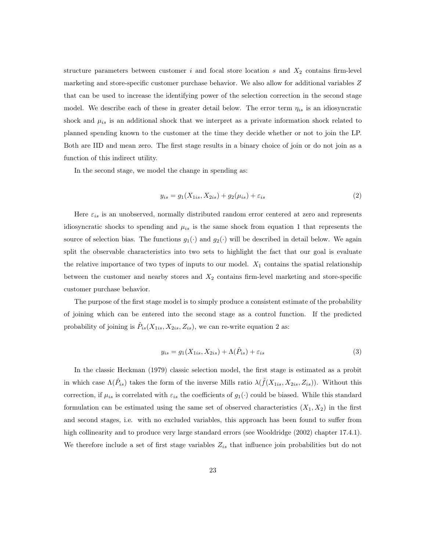structure parameters between customer i and focal store location s and  $X_2$  contains firm-level marketing and store-specific customer purchase behavior. We also allow for additional variables Z that can be used to increase the identifying power of the selection correction in the second stage model. We describe each of these in greater detail below. The error term  $\eta_{is}$  is an idiosyncratic shock and  $\mu_{is}$  is an additional shock that we interpret as a private information shock related to planned spending known to the customer at the time they decide whether or not to join the LP. Both are IID and mean zero. The first stage results in a binary choice of join or do not join as a function of this indirect utility.

In the second stage, we model the change in spending as:

$$
y_{is} = g_1(X_{1is}, X_{2is}) + g_2(\mu_{is}) + \varepsilon_{is}
$$
\n(2)

Here  $\varepsilon_{is}$  is an unobserved, normally distributed random error centered at zero and represents idiosyncratic shocks to spending and  $\mu_{is}$  is the same shock from equation 1 that represents the source of selection bias. The functions  $g_1(\cdot)$  and  $g_2(\cdot)$  will be described in detail below. We again split the observable characteristics into two sets to highlight the fact that our goal is evaluate the relative importance of two types of inputs to our model.  $X_1$  contains the spatial relationship between the customer and nearby stores and  $X_2$  contains firm-level marketing and store-specific customer purchase behavior.

The purpose of the first stage model is to simply produce a consistent estimate of the probability of joining which can be entered into the second stage as a control function. If the predicted probability of joining is  $\hat{P}_{is}(X_{1is}, X_{2is}, Z_{is})$ , we can re-write equation 2 as:

$$
y_{is} = g_1(X_{1is}, X_{2is}) + \Lambda(\hat{P}_{is}) + \varepsilon_{is}
$$
\n
$$
(3)
$$

In the classic Heckman (1979) classic selection model, the first stage is estimated as a probit in which case  $\Lambda(\hat{P}_{is})$  takes the form of the inverse Mills ratio  $\lambda(\hat{f}(X_{1is}, X_{2is}, Z_{is}))$ . Without this correction, if  $\mu_{is}$  is correlated with  $\varepsilon_{is}$  the coefficients of  $g_1(\cdot)$  could be biased. While this standard formulation can be estimated using the same set of observed characteristics  $(X_1, X_2)$  in the first and second stages, i.e. with no excluded variables, this approach has been found to suffer from high collinearity and to produce very large standard errors (see Wooldridge (2002) chapter 17.4.1). We therefore include a set of first stage variables  $Z_{is}$  that influence join probabilities but do not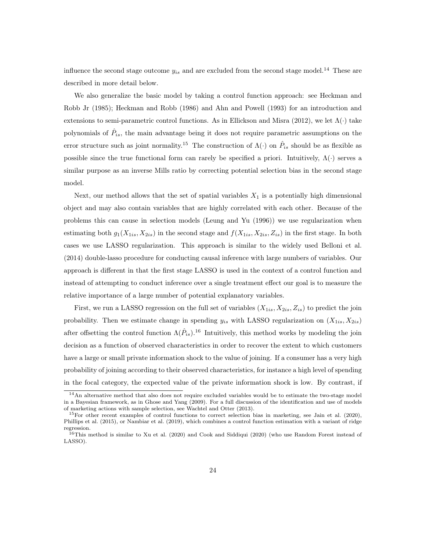influence the second stage outcome  $y_{is}$  and are excluded from the second stage model.<sup>14</sup> These are described in more detail below.

We also generalize the basic model by taking a control function approach: see Heckman and Robb Jr (1985); Heckman and Robb (1986) and Ahn and Powell (1993) for an introduction and extensions to semi-parametric control functions. As in Ellickson and Misra (2012), we let  $\Lambda(\cdot)$  take polynomials of  $\hat{P}_{is}$ , the main advantage being it does not require parametric assumptions on the error structure such as joint normality.<sup>15</sup> The construction of  $\Lambda(\cdot)$  on  $\hat{P}_{is}$  should be as flexible as possible since the true functional form can rarely be specified a priori. Intuitively,  $\Lambda(\cdot)$  serves a similar purpose as an inverse Mills ratio by correcting potential selection bias in the second stage model.

Next, our method allows that the set of spatial variables  $X_1$  is a potentially high dimensional object and may also contain variables that are highly correlated with each other. Because of the problems this can cause in selection models (Leung and Yu (1996)) we use regularization when estimating both  $g_1(X_{1is}, X_{2is})$  in the second stage and  $f(X_{1is}, X_{2is}, Z_{is})$  in the first stage. In both cases we use LASSO regularization. This approach is similar to the widely used Belloni et al. (2014) double-lasso procedure for conducting causal inference with large numbers of variables. Our approach is different in that the first stage LASSO is used in the context of a control function and instead of attempting to conduct inference over a single treatment effect our goal is to measure the relative importance of a large number of potential explanatory variables.

First, we run a LASSO regression on the full set of variables  $(X_{1is}, X_{2is}, Z_{is})$  to predict the join probability. Then we estimate change in spending  $y_{is}$  with LASSO regularization on  $(X_{1is}, X_{2is})$ after offsetting the control function  $\Lambda(\hat{P}_{is})$ .<sup>16</sup> Intuitively, this method works by modeling the join decision as a function of observed characteristics in order to recover the extent to which customers have a large or small private information shock to the value of joining. If a consumer has a very high probability of joining according to their observed characteristics, for instance a high level of spending in the focal category, the expected value of the private information shock is low. By contrast, if

<sup>14</sup>An alternative method that also does not require excluded variables would be to estimate the two-stage model in a Bayesian framework, as in Ghose and Yang (2009). For a full discussion of the identification and use of models of marketing actions with sample selection, see Wachtel and Otter (2013).

 $15$ For other recent examples of control functions to correct selection bias in marketing, see Jain et al. (2020), Phillips et al. (2015), or Nambiar et al. (2019), which combines a control function estimation with a variant of ridge regression.

 ${}^{16}$ This method is similar to Xu et al. (2020) and Cook and Siddiqui (2020) (who use Random Forest instead of LASSO).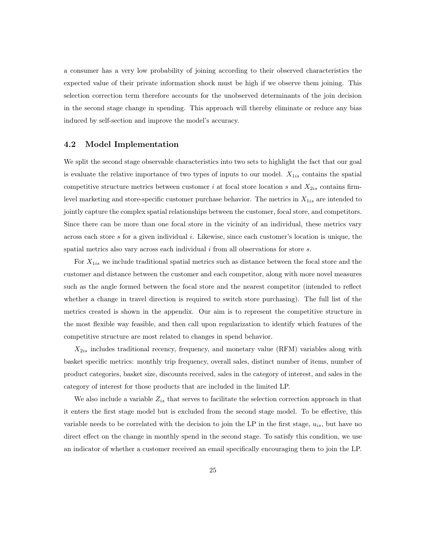a consumer has a very low probability of joining according to their observed characteristics the expected value of their private information shock must be high if we observe them joining. This selection correction term therefore accounts for the unobserved determinants of the join decision in the second stage change in spending. This approach will thereby eliminate or reduce any bias induced by self-section and improve the model's accuracy.

#### 4.2 Model Implementation

We split the second stage observable characteristics into two sets to highlight the fact that our goal is evaluate the relative importance of two types of inputs to our model.  $X_{1is}$  contains the spatial competitive structure metrics between customer i at focal store location s and  $X_{2is}$  contains firmlevel marketing and store-specific customer purchase behavior. The metrics in  $X_{1is}$  are intended to jointly capture the complex spatial relationships between the customer, focal store, and competitors. Since there can be more than one focal store in the vicinity of an individual, these metrics vary across each store  $s$  for a given individual i. Likewise, since each customer's location is unique, the spatial metrics also vary across each individual  $i$  from all observations for store  $s$ .

For  $X_{1is}$  we include traditional spatial metrics such as distance between the focal store and the customer and distance between the customer and each competitor, along with more novel measures such as the angle formed between the focal store and the nearest competitor (intended to reflect whether a change in travel direction is required to switch store purchasing). The full list of the metrics created is shown in the appendix. Our aim is to represent the competitive structure in the most flexible way feasible, and then call upon regularization to identify which features of the competitive structure are most related to changes in spend behavior.

 $X_{2is}$  includes traditional recency, frequency, and monetary value (RFM) variables along with basket specific metrics: monthly trip frequency, overall sales, distinct number of items, number of product categories, basket size, discounts received, sales in the category of interest, and sales in the category of interest for those products that are included in the limited LP.

We also include a variable  $Z_{is}$  that serves to facilitate the selection correction approach in that it enters the first stage model but is excluded from the second stage model. To be effective, this variable needs to be correlated with the decision to join the LP in the first stage,  $u_{is}$ , but have no direct effect on the change in monthly spend in the second stage. To satisfy this condition, we use an indicator of whether a customer received an email specifically encouraging them to join the LP.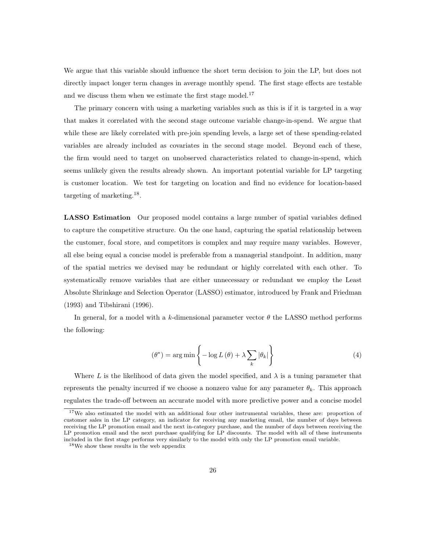We argue that this variable should influence the short term decision to join the LP, but does not directly impact longer term changes in average monthly spend. The first stage effects are testable and we discuss them when we estimate the first stage model.<sup>17</sup>

The primary concern with using a marketing variables such as this is if it is targeted in a way that makes it correlated with the second stage outcome variable change-in-spend. We argue that while these are likely correlated with pre-join spending levels, a large set of these spending-related variables are already included as covariates in the second stage model. Beyond each of these, the firm would need to target on unobserved characteristics related to change-in-spend, which seems unlikely given the results already shown. An important potential variable for LP targeting is customer location. We test for targeting on location and find no evidence for location-based targeting of marketing.<sup>18</sup> .

LASSO Estimation Our proposed model contains a large number of spatial variables defined to capture the competitive structure. On the one hand, capturing the spatial relationship between the customer, focal store, and competitors is complex and may require many variables. However, all else being equal a concise model is preferable from a managerial standpoint. In addition, many of the spatial metrics we devised may be redundant or highly correlated with each other. To systematically remove variables that are either unnecessary or redundant we employ the Least Absolute Shrinkage and Selection Operator (LASSO) estimator, introduced by Frank and Friedman (1993) and Tibshirani (1996).

In general, for a model with a k-dimensional parameter vector  $\theta$  the LASSO method performs the following:

$$
(\theta^*) = \arg\min\left\{-\log L(\theta) + \lambda \sum_{k} |\theta_k|\right\}
$$
 (4)

Where L is the likelihood of data given the model specified, and  $\lambda$  is a tuning parameter that represents the penalty incurred if we choose a nonzero value for any parameter  $\theta_k$ . This approach regulates the trade-off between an accurate model with more predictive power and a concise model

<sup>&</sup>lt;sup>17</sup>We also estimated the model with an additional four other instrumental variables, these are: proportion of customer sales in the LP category, an indicator for receiving any marketing email, the number of days between receiving the LP promotion email and the next in-category purchase, and the number of days between receiving the LP promotion email and the next purchase qualifying for LP discounts. The model with all of these instruments included in the first stage performs very similarly to the model with only the LP promotion email variable.

<sup>18</sup>We show these results in the web appendix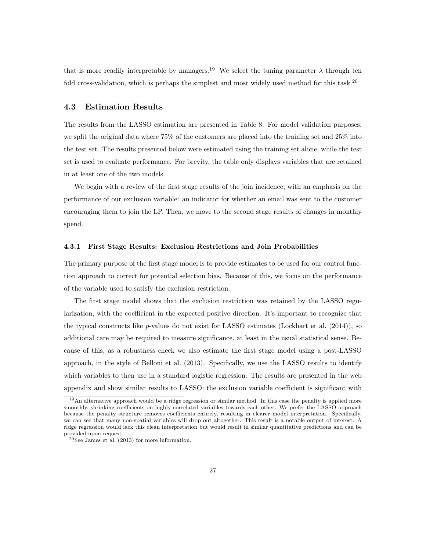that is more readily interpretable by managers.<sup>19</sup> We select the tuning parameter  $\lambda$  through ten fold cross-validation, which is perhaps the simplest and most widely used method for this task.<sup>20</sup>

### 4.3 Estimation Results

The results from the LASSO estimation are presented in Table 8. For model validation purposes, we split the original data where 75% of the customers are placed into the training set and 25% into the test set. The results presented below were estimated using the training set alone, while the test set is used to evaluate performance. For brevity, the table only displays variables that are retained in at least one of the two models.

We begin with a review of the first stage results of the join incidence, with an emphasis on the performance of our exclusion variable: an indicator for whether an email was sent to the customer encouraging them to join the LP. Then, we move to the second stage results of changes in monthly spend.

#### 4.3.1 First Stage Results: Exclusion Restrictions and Join Probabilities

The primary purpose of the first stage model is to provide estimates to be used for our control function approach to correct for potential selection bias. Because of this, we focus on the performance of the variable used to satisfy the exclusion restriction.

The first stage model shows that the exclusion restriction was retained by the LASSO regularization, with the coefficient in the expected positive direction. It's important to recognize that the typical constructs like  $p$ -values do not exist for LASSO estimates (Lockhart et al. (2014)), so additional care may be required to measure significance, at least in the usual statistical sense. Because of this, as a robustness check we also estimate the first stage model using a post-LASSO approach, in the style of Belloni et al. (2013). Specifically, we use the LASSO results to identify which variables to then use in a standard logistic regression. The results are presented in the web appendix and show similar results to LASSO: the exclusion variable coefficient is significant with

<sup>&</sup>lt;sup>19</sup>An alternative approach would be a ridge regression or similar method. In this case the penalty is applied more smoothly, shrinking coefficients on highly correlated variables towards each other. We prefer the LASSO approach because the penalty structure removes coefficients entirely, resulting in clearer model interpretation. Specifically, we can see that many non-spatial variables will drop out altogether. This result is a notable output of interest. A ridge regression would lack this clean interpretation but would result in similar quantitative predictions and can be provided upon request.

<sup>20</sup>See James et al. (2013) for more information.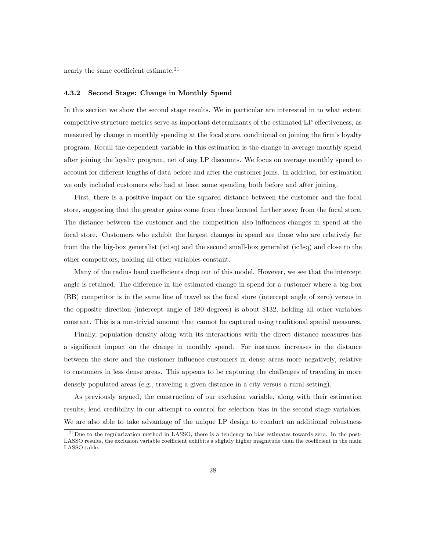nearly the same coefficient estimate.<sup>21</sup>

#### 4.3.2 Second Stage: Change in Monthly Spend

In this section we show the second stage results. We in particular are interested in to what extent competitive structure metrics serve as important determinants of the estimated LP effectiveness, as measured by change in monthly spending at the focal store, conditional on joining the firm's loyalty program. Recall the dependent variable in this estimation is the change in average monthly spend after joining the loyalty program, net of any LP discounts. We focus on average monthly spend to account for different lengths of data before and after the customer joins. In addition, for estimation we only included customers who had at least some spending both before and after joining.

First, there is a positive impact on the squared distance between the customer and the focal store, suggesting that the greater gains come from those located further away from the focal store. The distance between the customer and the competition also influences changes in spend at the focal store. Customers who exhibit the largest changes in spend are those who are relatively far from the the big-box generalist (ic1sq) and the second small-box generalist (ic3sq) and close to the other competitors, holding all other variables constant.

Many of the radius band coefficients drop out of this model. However, we see that the intercept angle is retained. The difference in the estimated change in spend for a customer where a big-box (BB) competitor is in the same line of travel as the focal store (intercept angle of zero) versus in the opposite direction (intercept angle of 180 degrees) is about \$132, holding all other variables constant. This is a non-trivial amount that cannot be captured using traditional spatial measures.

Finally, population density along with its interactions with the direct distance measures has a significant impact on the change in monthly spend. For instance, increases in the distance between the store and the customer influence customers in dense areas more negatively, relative to customers in less dense areas. This appears to be capturing the challenges of traveling in more densely populated areas (e.g., traveling a given distance in a city versus a rural setting).

As previously argued, the construction of our exclusion variable, along with their estimation results, lend credibility in our attempt to control for selection bias in the second stage variables. We are also able to take advantage of the unique LP design to conduct an additional robustness

<sup>21</sup>Due to the regularization method in LASSO, there is a tendency to bias estimates towards zero. In the post-LASSO results, the exclusion variable coefficient exhibits a slightly higher magnitude than the coefficient in the main LASSO table.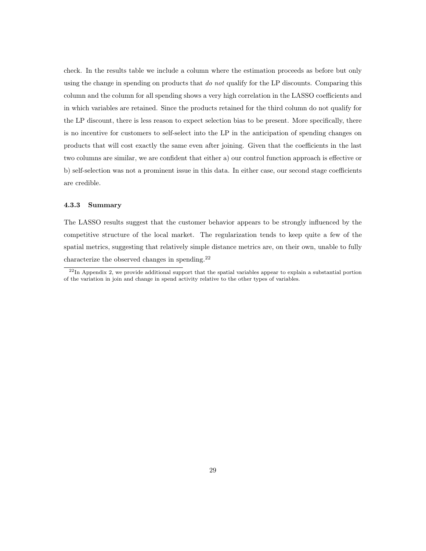check. In the results table we include a column where the estimation proceeds as before but only using the change in spending on products that do not qualify for the LP discounts. Comparing this column and the column for all spending shows a very high correlation in the LASSO coefficients and in which variables are retained. Since the products retained for the third column do not qualify for the LP discount, there is less reason to expect selection bias to be present. More specifically, there is no incentive for customers to self-select into the LP in the anticipation of spending changes on products that will cost exactly the same even after joining. Given that the coefficients in the last two columns are similar, we are confident that either a) our control function approach is effective or b) self-selection was not a prominent issue in this data. In either case, our second stage coefficients are credible.

#### 4.3.3 Summary

The LASSO results suggest that the customer behavior appears to be strongly influenced by the competitive structure of the local market. The regularization tends to keep quite a few of the spatial metrics, suggesting that relatively simple distance metrics are, on their own, unable to fully characterize the observed changes in spending.<sup>22</sup>

 $^{22}$ In Appendix 2, we provide additional support that the spatial variables appear to explain a substantial portion of the variation in join and change in spend activity relative to the other types of variables.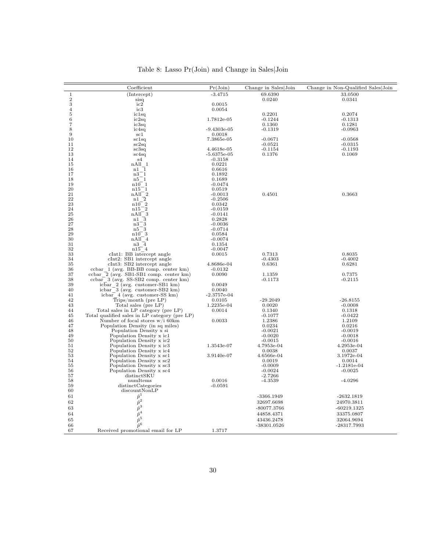|                     | Coefficient                                                                             | Pr(Join)            | Change in Sales Join   | Change in Non-Qualified Sales Join |
|---------------------|-----------------------------------------------------------------------------------------|---------------------|------------------------|------------------------------------|
| $\mathbf{1}$        | (Intercept)                                                                             | $-3.4715$           | 69.6390                | 33.0500                            |
| $\overline{2}$<br>3 | sisq<br>ic2                                                                             | 0.0015              | 0.0240                 | 0.0341                             |
| $\overline{4}$      | ic3                                                                                     | 0.0054              |                        |                                    |
| 5                   | ic1sq                                                                                   |                     | 0.2201                 | 0.2074                             |
| 6                   | ic2sq                                                                                   | 1.7812e-05          | $-0.1244$              | $-0.1313$                          |
| 7                   | ic3sq                                                                                   |                     | 0.1360                 | 0.1281                             |
| 8                   | ic4sq                                                                                   | $-9.4303e-05$       | $-0.1319$              | $-0.0963$                          |
| 9                   | $\operatorname{sc}1$                                                                    | 0.0018              |                        |                                    |
| 10                  | sc1sq                                                                                   | 7.3865e-05          | $-0.0671$              | $-0.0568$                          |
| 11<br>12            | sc2sq                                                                                   | 4.4618e-05          | $-0.0521$<br>$-0.1154$ | $-0.0315$<br>$-0.1193$             |
| 13                  | sc3sq<br>sc4sq                                                                          | $-5.6375$ e $-05$   | 0.1376                 | 0.1069                             |
| 14                  | s4                                                                                      | $-0.3158$           |                        |                                    |
| 15                  | nAll 1                                                                                  | 0.0221              |                        |                                    |
| 16                  | $n1$ $1$                                                                                | 0.6616              |                        |                                    |
| 17                  | $n3-1$                                                                                  | 0.1892              |                        |                                    |
| 18                  | $n5-1$                                                                                  | 0.1689              |                        |                                    |
| 19                  | n10 1                                                                                   | $-0.0474$           |                        |                                    |
| 20<br>21            | n15 1<br>$nAll^-2$                                                                      | 0.0519<br>$-0.0013$ | 0.4501                 | 0.3663                             |
| 22                  | $n1\bar{2}$                                                                             | $-0.2506$           |                        |                                    |
| 23                  | $\overline{2}$<br>$n10^-$                                                               | 0.0342              |                        |                                    |
| 24                  | $^{\circ}2$<br>n15                                                                      | $-0.0159$           |                        |                                    |
| 25                  | 3<br>nAll                                                                               | $-0.0141$           |                        |                                    |
| 26                  | 3<br>n1                                                                                 | 0.2828              |                        |                                    |
| 27                  | n3<br>3                                                                                 | $-0.0036$           |                        |                                    |
| 28                  | $n5-3$                                                                                  | $-0.0714$           |                        |                                    |
| 29<br>30            | $n10$ <sup>3</sup>                                                                      | 0.0584              |                        |                                    |
| 31                  | $nAll^-4$<br>$n3\overline{4}$                                                           | $-0.0074$<br>0.1354 |                        |                                    |
| 32                  | $n15$ <sup><math>4</math></sup>                                                         | $-0.0047$           |                        |                                    |
| 33                  | $clnt1: BB$ intercept angle                                                             | 0.0015              | 0.7313                 | 0.8035                             |
| 34                  | $cInt2$ : SB1 intercept angle                                                           |                     | $-0.4303$              | $-0.4002$                          |
| 35                  | $cInt3: SB2$ intercept angle                                                            | 4.8686e-04          | 0.6361                 | 0.6281                             |
| 36                  | ccbar 1 (avg. BB-BB comp. center km)                                                    | $-0.0132$           |                        |                                    |
| 37                  | ccbar $\bar{2}$ (avg. SB1-SB1 comp. center km)                                          | 0.0090              | 1.1359                 | 0.7375                             |
| 38<br>39            | $\overline{\text{cobar}}$ 3 (avg. SS-SB2 comp. center km)                               | 0.0049              | $-0.1173$              | $-0.2115$                          |
| 40                  | icbar $2 \text{ (avg. customer-SB1 km)}$<br>$icbar$ <sup>3</sup> (avg. customer-SB2 km) | 0.0040              |                        |                                    |
| 41                  | $icbar$ 4 (avg. customer-SS km)                                                         | $-2.3757e-04$       |                        |                                    |
| 42                  | $Trips/month$ (pre $LP$ )                                                               | 0.0105              | $-29.2049$             | $-26.8155$                         |
| 43                  | Total sales (pre LP)                                                                    | 1.2235e-04          | 0.0020                 | $-0.0008$                          |
| 44                  | Total sales in LP category (pre LP)                                                     | 0.0014              | 0.1340                 | 0.1318                             |
| 45                  | Total qualified sales in LP category (pre LP)                                           |                     | $-0.1077$              | $-0.0422$                          |
| 46                  | Number of focal stores $w/i$ 60km                                                       | 0.0033              | 1.2386                 | 1.2109                             |
| 47                  | Population Density (in sq miles)                                                        |                     | 0.0234                 | 0.0216                             |
| 48<br>49            | Population Density x si                                                                 |                     | $-0.0021$              | $-0.0019$<br>$-0.0018$             |
| 50                  | Population Density x ic1<br>Population Density x ic2                                    |                     | $-0.0020$<br>$-0.0015$ | $-0.0016$                          |
| 51                  | Population Density x ic3                                                                | 1.3543e-07          | 4.7953e-04             | 4.2953e-04                         |
| 52                  | Population Density x ic4                                                                |                     | 0.0038                 | 0.0037                             |
| 53                  | Population Density x sc1                                                                | 3.9140e-07          | 4.6566e-04             | 3.1972e-04                         |
| 54                  | Population Density x sc2                                                                |                     | 0.0019                 | 0.0014                             |
| 55                  | Population Density x sc3                                                                |                     | $-0.0009$              | $-1.2181e-04$                      |
| 56                  | Population Density x sc4                                                                |                     | $-0.0024$              | $-0.0025$                          |
| 57<br>58            | distinctSKU<br>numItems                                                                 | 0.0016              | $-2.7266$<br>$-4.3539$ | $-4.0296$                          |
| 59                  | distinctCategories                                                                      | $-0.0591$           |                        |                                    |
| 60                  | discountNonLP                                                                           |                     |                        |                                    |
| 61                  | $\hat{p}^1$                                                                             |                     | $-3366.1949$           | $-2632.1819$                       |
| 62                  | $\hat{p}^2$                                                                             |                     | 32697.6698             | 24970.3811                         |
| 63                  | $\hat{p}^3$                                                                             |                     | -80077.3766            | $-60219.1325$                      |
| 64                  | $\hat{p}^4$                                                                             |                     | 44858.4371             | 33375.0807                         |
| 65                  | $\hat{p}^5$                                                                             |                     | 43436.2478             | 32064.9694                         |
| 66                  | $\hat{p}^6$                                                                             |                     | $-38301.0526$          | -28317.7993                        |
| 67                  | Received promotional email for LP                                                       | 1.3717              |                        |                                    |
|                     |                                                                                         |                     |                        |                                    |

## Table 8: Lasso Pr(Join) and Change in Sales|Join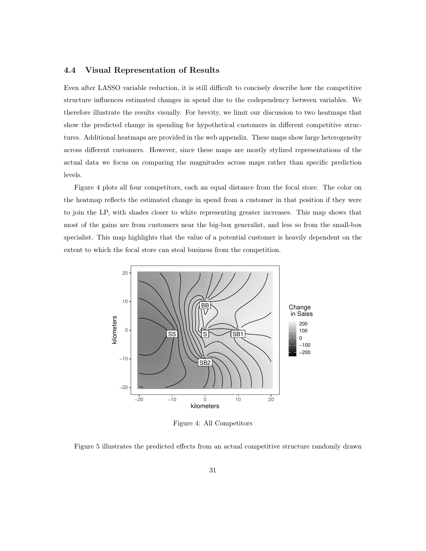#### 4.4 Visual Representation of Results

Even after LASSO variable reduction, it is still difficult to concisely describe how the competitive structure influences estimated changes in spend due to the codependency between variables. We therefore illustrate the results visually. For brevity, we limit our discussion to two heatmaps that show the predicted change in spending for hypothetical customers in different competitive structures. Additional heatmaps are provided in the web appendix. These maps show large heterogeneity across different customers. However, since these maps are mostly stylized representations of the actual data we focus on comparing the magnitudes across maps rather than specific prediction levels.

Figure 4 plots all four competitors, each an equal distance from the focal store. The color on the heatmap reflects the estimated change in spend from a customer in that position if they were to join the LP, with shades closer to white representing greater increases. This map shows that most of the gains are from customers near the big-box generalist, and less so from the small-box specialist. This map highlights that the value of a potential customer is heavily dependent on the extent to which the focal store can steal business from the competition.



Figure 4: All Competitors

Figure 5 illustrates the predicted effects from an actual competitive structure randomly drawn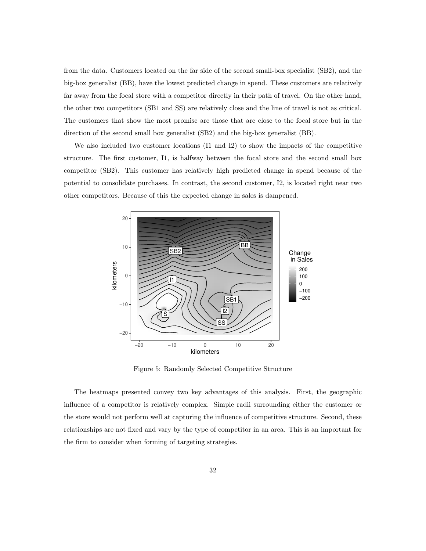from the data. Customers located on the far side of the second small-box specialist (SB2), and the big-box generalist (BB), have the lowest predicted change in spend. These customers are relatively far away from the focal store with a competitor directly in their path of travel. On the other hand, the other two competitors (SB1 and SS) are relatively close and the line of travel is not as critical. The customers that show the most promise are those that are close to the focal store but in the direction of the second small box generalist (SB2) and the big-box generalist (BB).

We also included two customer locations (I1 and I2) to show the impacts of the competitive structure. The first customer, I1, is halfway between the focal store and the second small box competitor (SB2). This customer has relatively high predicted change in spend because of the potential to consolidate purchases. In contrast, the second customer, I2, is located right near two other competitors. Because of this the expected change in sales is dampened.



Figure 5: Randomly Selected Competitive Structure

The heatmaps presented convey two key advantages of this analysis. First, the geographic influence of a competitor is relatively complex. Simple radii surrounding either the customer or the store would not perform well at capturing the influence of competitive structure. Second, these relationships are not fixed and vary by the type of competitor in an area. This is an important for the firm to consider when forming of targeting strategies.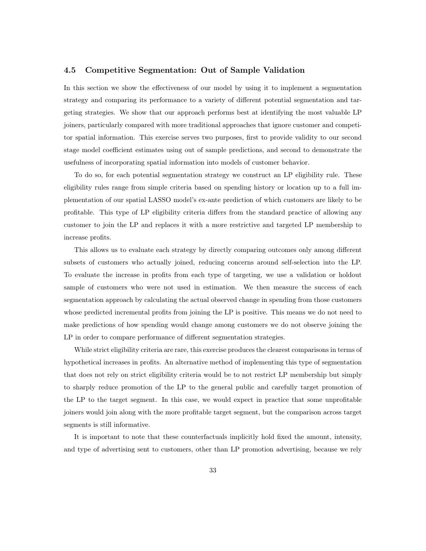#### 4.5 Competitive Segmentation: Out of Sample Validation

In this section we show the effectiveness of our model by using it to implement a segmentation strategy and comparing its performance to a variety of different potential segmentation and targeting strategies. We show that our approach performs best at identifying the most valuable LP joiners, particularly compared with more traditional approaches that ignore customer and competitor spatial information. This exercise serves two purposes, first to provide validity to our second stage model coefficient estimates using out of sample predictions, and second to demonstrate the usefulness of incorporating spatial information into models of customer behavior.

To do so, for each potential segmentation strategy we construct an LP eligibility rule. These eligibility rules range from simple criteria based on spending history or location up to a full implementation of our spatial LASSO model's ex-ante prediction of which customers are likely to be profitable. This type of LP eligibility criteria differs from the standard practice of allowing any customer to join the LP and replaces it with a more restrictive and targeted LP membership to increase profits.

This allows us to evaluate each strategy by directly comparing outcomes only among different subsets of customers who actually joined, reducing concerns around self-selection into the LP. To evaluate the increase in profits from each type of targeting, we use a validation or holdout sample of customers who were not used in estimation. We then measure the success of each segmentation approach by calculating the actual observed change in spending from those customers whose predicted incremental profits from joining the LP is positive. This means we do not need to make predictions of how spending would change among customers we do not observe joining the LP in order to compare performance of different segmentation strategies.

While strict eligibility criteria are rare, this exercise produces the clearest comparisons in terms of hypothetical increases in profits. An alternative method of implementing this type of segmentation that does not rely on strict eligibility criteria would be to not restrict LP membership but simply to sharply reduce promotion of the LP to the general public and carefully target promotion of the LP to the target segment. In this case, we would expect in practice that some unprofitable joiners would join along with the more profitable target segment, but the comparison across target segments is still informative.

It is important to note that these counterfactuals implicitly hold fixed the amount, intensity, and type of advertising sent to customers, other than LP promotion advertising, because we rely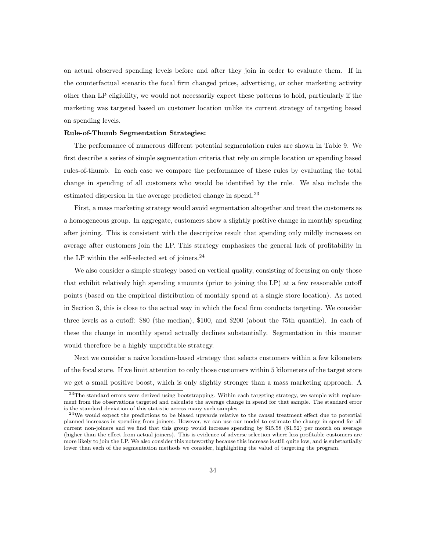on actual observed spending levels before and after they join in order to evaluate them. If in the counterfactual scenario the focal firm changed prices, advertising, or other marketing activity other than LP eligibility, we would not necessarily expect these patterns to hold, particularly if the marketing was targeted based on customer location unlike its current strategy of targeting based on spending levels.

#### Rule-of-Thumb Segmentation Strategies:

The performance of numerous different potential segmentation rules are shown in Table 9. We first describe a series of simple segmentation criteria that rely on simple location or spending based rules-of-thumb. In each case we compare the performance of these rules by evaluating the total change in spending of all customers who would be identified by the rule. We also include the estimated dispersion in the average predicted change in spend.<sup>23</sup>

First, a mass marketing strategy would avoid segmentation altogether and treat the customers as a homogeneous group. In aggregate, customers show a slightly positive change in monthly spending after joining. This is consistent with the descriptive result that spending only mildly increases on average after customers join the LP. This strategy emphasizes the general lack of profitability in the LP within the self-selected set of joiners. $^{24}$ 

We also consider a simple strategy based on vertical quality, consisting of focusing on only those that exhibit relatively high spending amounts (prior to joining the LP) at a few reasonable cutoff points (based on the empirical distribution of monthly spend at a single store location). As noted in Section 3, this is close to the actual way in which the focal firm conducts targeting. We consider three levels as a cutoff: \$80 (the median), \$100, and \$200 (about the 75th quantile). In each of these the change in monthly spend actually declines substantially. Segmentation in this manner would therefore be a highly unprofitable strategy.

Next we consider a naive location-based strategy that selects customers within a few kilometers of the focal store. If we limit attention to only those customers within 5 kilometers of the target store we get a small positive boost, which is only slightly stronger than a mass marketing approach. A

<sup>&</sup>lt;sup>23</sup>The standard errors were derived using bootstrapping. Within each targeting strategy, we sample with replacement from the observations targeted and calculate the average change in spend for that sample. The standard error is the standard deviation of this statistic across many such samples.

<sup>&</sup>lt;sup>24</sup>We would expect the predictions to be biased upwards relative to the causal treatment effect due to potential planned increases in spending from joiners. However, we can use our model to estimate the change in spend for all current non-joiners and we find that this group would increase spending by \$15.58 (\$1.52) per month on average (higher than the effect from actual joiners). This is evidence of adverse selection where less profitable customers are more likely to join the LP. We also consider this noteworthy because this increase is still quite low, and is substantially lower than each of the segmentation methods we consider, highlighting the valud of targeting the program.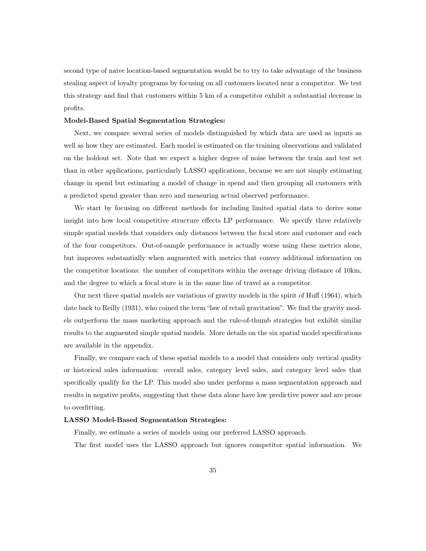second type of naive location-based segmentation would be to try to take advantage of the business stealing aspect of loyalty programs by focusing on all customers located near a competitor. We test this strategy and find that customers within 5 km of a competitor exhibit a substantial decrease in profits.

#### Model-Based Spatial Segmentation Strategies:

Next, we compare several series of models distinguished by which data are used as inputs as well as how they are estimated. Each model is estimated on the training observations and validated on the holdout set. Note that we expect a higher degree of noise between the train and test set than in other applications, particularly LASSO applications, because we are not simply estimating change in spend but estimating a model of change in spend and then grouping all customers with a predicted spend greater than zero and measuring actual observed performance.

We start by focusing on different methods for including limited spatial data to derive some insight into how local competitive structure effects LP performance. We specify three relatively simple spatial models that considers only distances between the focal store and customer and each of the four competitors. Out-of-sample performance is actually worse using these metrics alone, but improves substantially when augmented with metrics that convey additional information on the competitor locations: the number of competitors within the average driving distance of 10km, and the degree to which a focal store is in the same line of travel as a competitor.

Our next three spatial models are variations of gravity models in the spirit of Huff (1964), which date back to Reilly (1931), who coined the term "law of retail gravitation". We find the gravity models outperform the mass marketing approach and the rule-of-thumb strategies but exhibit similar results to the augmented simple spatial models. More details on the six spatial model specifications are available in the appendix.

Finally, we compare each of these spatial models to a model that considers only vertical quality or historical sales information: overall sales, category level sales, and category level sales that specifically qualify for the LP. This model also under performs a mass segmentation approach and results in negative profits, suggesting that these data alone have low predictive power and are prone to overfitting.

#### LASSO Model-Based Segmentation Strategies:

Finally, we estimate a series of models using our preferred LASSO approach.

The first model uses the LASSO approach but ignores competitor spatial information. We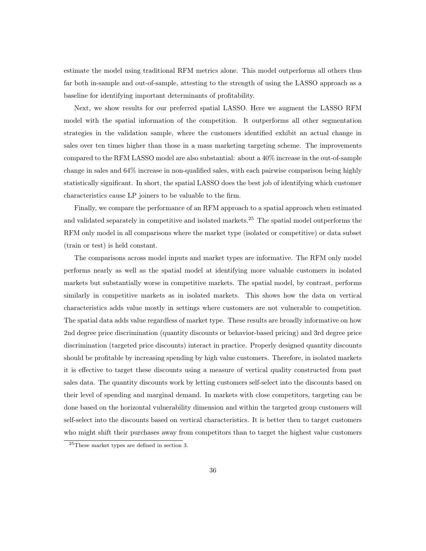estimate the model using traditional RFM metrics alone. This model outperforms all others thus far both in-sample and out-of-sample, attesting to the strength of using the LASSO approach as a baseline for identifying important determinants of profitability.

Next, we show results for our preferred spatial LASSO. Here we augment the LASSO RFM model with the spatial information of the competition. It outperforms all other segmentation strategies in the validation sample, where the customers identified exhibit an actual change in sales over ten times higher than those in a mass marketing targeting scheme. The improvements compared to the RFM LASSO model are also substantial: about a 40% increase in the out-of-sample change in sales and 64% increase in non-qualified sales, with each pairwise comparison being highly statistically significant. In short, the spatial LASSO does the best job of identifying which customer characteristics cause LP joiners to be valuable to the firm.

Finally, we compare the performance of an RFM approach to a spatial approach when estimated and validated separately in competitive and isolated markets.<sup>25</sup> The spatial model outperforms the RFM only model in all comparisons where the market type (isolated or competitive) or data subset (train or test) is held constant.

The comparisons across model inputs and market types are informative. The RFM only model performs nearly as well as the spatial model at identifying more valuable customers in isolated markets but substantially worse in competitive markets. The spatial model, by contrast, performs similarly in competitive markets as in isolated markets. This shows how the data on vertical characteristics adds value mostly in settings where customers are not vulnerable to competition. The spatial data adds value regardless of market type. These results are broadly informative on how 2nd degree price discrimination (quantity discounts or behavior-based pricing) and 3rd degree price discrimination (targeted price discounts) interact in practice. Properly designed quantity discounts should be profitable by increasing spending by high value customers. Therefore, in isolated markets it is effective to target these discounts using a measure of vertical quality constructed from past sales data. The quantity discounts work by letting customers self-select into the discounts based on their level of spending and marginal demand. In markets with close competitors, targeting can be done based on the horizontal vulnerability dimension and within the targeted group customers will self-select into the discounts based on vertical characteristics. It is better then to target customers who might shift their purchases away from competitors than to target the highest value customers

<sup>25</sup>These market types are defined in section 3.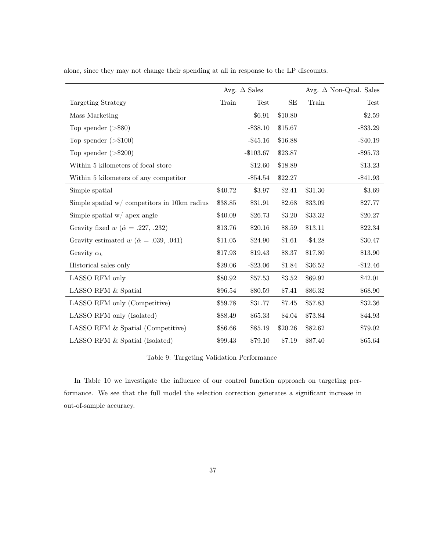|                                                      |         | Avg. $\Delta$ Sales |         |            | Avg. $\Delta$ Non-Qual. Sales |
|------------------------------------------------------|---------|---------------------|---------|------------|-------------------------------|
| Targeting Strategy                                   | Train   | <b>Test</b>         | SE      | Train      | Test                          |
| Mass Marketing                                       |         | \$6.91              | \$10.80 |            | \$2.59                        |
| Top spender $(>\,$ \$80)                             |         | $- $38.10$          | \$15.67 |            | $- $33.29$                    |
| Top spender $(>\$100)$                               |         | $- $45.16$          | \$16.88 |            | $- $40.19$                    |
| Top spender $(>\$200)$                               |         | $-$103.67$          | \$23.87 |            | $-$ \$95.73                   |
| Within 5 kilometers of focal store                   |         | \$12.60             | \$18.89 |            | \$13.23                       |
| Within 5 kilometers of any competitor                |         | $-\$54.54$          | \$22.27 |            | $-$ \$41.93                   |
| Simple spatial                                       | \$40.72 | \$3.97              | \$2.41  | \$31.30    | \$3.69                        |
| Simple spatial $w/$ competitors in 10km radius       | \$38.85 | \$31.91             | \$2.68  | \$33.09    | \$27.77                       |
| Simple spatial $w/$ apex angle                       | \$40.09 | \$26.73             | \$3.20  | \$33.32    | \$20.27                       |
| Gravity fixed $w$ ( $\hat{\alpha} = .227, .232$ )    | \$13.76 | \$20.16             | \$8.59  | \$13.11    | \$22.34                       |
| Gravity estimated $w$ ( $\hat{\alpha}$ = .039, .041) | \$11.05 | \$24.90             | \$1.61  | $-$ \$4.28 | \$30.47                       |
| Gravity $\alpha_k$                                   | \$17.93 | \$19.43             | \$8.37  | \$17.80    | \$13.90                       |
| Historical sales only                                | \$29.06 | $-\$23.06$          | \$1.84  | \$36.52    | $-\$12.46$                    |
| LASSO RFM only                                       | \$80.92 | \$57.53             | \$3.52  | \$69.92    | \$42.01                       |
| LASSO RFM & Spatial                                  | \$96.54 | \$80.59             | \$7.41  | \$86.32    | \$68.90                       |
| LASSO RFM only (Competitive)                         | \$59.78 | \$31.77             | \$7.45  | \$57.83    | \$32.36                       |
| LASSO RFM only (Isolated)                            | \$88.49 | \$65.33             | \$4.04  | \$73.84    | \$44.93                       |
| LASSO RFM & Spatial (Competitive)                    | \$86.66 | \$85.19             | \$20.26 | \$82.62    | \$79.02                       |
| LASSO RFM & Spatial (Isolated)                       | \$99.43 | \$79.10             | \$7.19  | \$87.40    | \$65.64                       |

alone, since they may not change their spending at all in response to the LP discounts.

Table 9: Targeting Validation Performance

In Table 10 we investigate the influence of our control function approach on targeting performance. We see that the full model the selection correction generates a significant increase in out-of-sample accuracy.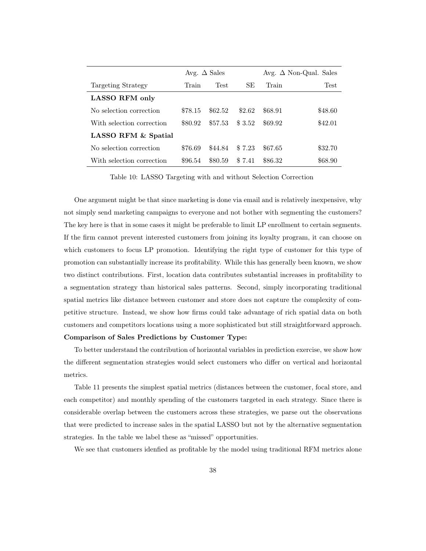|                           | Avg. $\Delta$ Sales |             |        | Avg. $\Delta$ Non-Qual. Sales |         |
|---------------------------|---------------------|-------------|--------|-------------------------------|---------|
| Targeting Strategy        | Train               | <b>Test</b> | SE     | Train                         | Test    |
| <b>LASSO RFM only</b>     |                     |             |        |                               |         |
| No selection correction   | \$78.15             | \$62.52     | \$2.62 | \$68.91                       | \$48.60 |
| With selection correction | \$80.92             | \$57.53     | \$3.52 | \$69.92                       | \$42.01 |
| LASSO RFM & Spatial       |                     |             |        |                               |         |
| No selection correction   | \$76.69             | \$44.84     | \$7.23 | \$67.65                       | \$32.70 |
| With selection correction | \$96.54             | \$80.59     | \$7.41 | \$86.32                       | \$68.90 |

Table 10: LASSO Targeting with and without Selection Correction

One argument might be that since marketing is done via email and is relatively inexpensive, why not simply send marketing campaigns to everyone and not bother with segmenting the customers? The key here is that in some cases it might be preferable to limit LP enrollment to certain segments. If the firm cannot prevent interested customers from joining its loyalty program, it can choose on which customers to focus LP promotion. Identifying the right type of customer for this type of promotion can substantially increase its profitability. While this has generally been known, we show two distinct contributions. First, location data contributes substantial increases in profitability to a segmentation strategy than historical sales patterns. Second, simply incorporating traditional spatial metrics like distance between customer and store does not capture the complexity of competitive structure. Instead, we show how firms could take advantage of rich spatial data on both customers and competitors locations using a more sophisticated but still straightforward approach. Comparison of Sales Predictions by Customer Type:

To better understand the contribution of horizontal variables in prediction exercise, we show how the different segmentation strategies would select customers who differ on vertical and horizontal metrics.

Table 11 presents the simplest spatial metrics (distances between the customer, focal store, and each competitor) and monthly spending of the customers targeted in each strategy. Since there is considerable overlap between the customers across these strategies, we parse out the observations that were predicted to increase sales in the spatial LASSO but not by the alternative segmentation strategies. In the table we label these as "missed" opportunities.

We see that customers idenfied as profitable by the model using traditional RFM metrics alone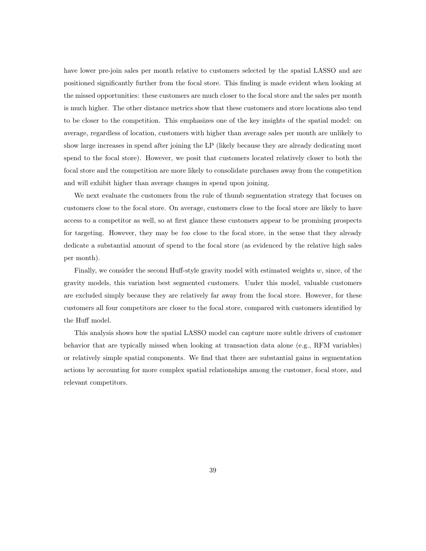have lower pre-join sales per month relative to customers selected by the spatial LASSO and are positioned significantly further from the focal store. This finding is made evident when looking at the missed opportunities: these customers are much closer to the focal store and the sales per month is much higher. The other distance metrics show that these customers and store locations also tend to be closer to the competition. This emphasizes one of the key insights of the spatial model: on average, regardless of location, customers with higher than average sales per month are unlikely to show large increases in spend after joining the LP (likely because they are already dedicating most spend to the focal store). However, we posit that customers located relatively closer to both the focal store and the competition are more likely to consolidate purchases away from the competition and will exhibit higher than average changes in spend upon joining.

We next evaluate the customers from the rule of thumb segmentation strategy that focuses on customers close to the focal store. On average, customers close to the focal store are likely to have access to a competitor as well, so at first glance these customers appear to be promising prospects for targeting. However, they may be too close to the focal store, in the sense that they already dedicate a substantial amount of spend to the focal store (as evidenced by the relative high sales per month).

Finally, we consider the second Huff-style gravity model with estimated weights  $w$ , since, of the gravity models, this variation best segmented customers. Under this model, valuable customers are excluded simply because they are relatively far away from the focal store. However, for these customers all four competitors are closer to the focal store, compared with customers identified by the Huff model.

This analysis shows how the spatial LASSO model can capture more subtle drivers of customer behavior that are typically missed when looking at transaction data alone (e.g., RFM variables) or relatively simple spatial components. We find that there are substantial gains in segmentation actions by accounting for more complex spatial relationships among the customer, focal store, and relevant competitors.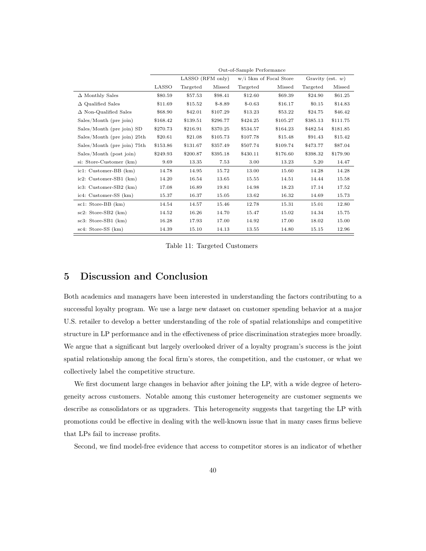|                                 | Out-of-Sample Performance |                  |          |                        |          |                     |          |
|---------------------------------|---------------------------|------------------|----------|------------------------|----------|---------------------|----------|
|                                 |                           | LASSO (RFM only) |          | w/i 5km of Focal Store |          | Gravity (est. $w$ ) |          |
|                                 | LASSO                     | Targeted         | Missed   | Targeted               | Missed   | Targeted            | Missed   |
| $\Delta$ Monthly Sales          | \$80.59                   | \$57.53          | \$98.41  | \$12.60                | \$69.39  | \$24.90             | \$61.25  |
| $\Delta$ Qualified Sales        | \$11.69                   | \$15.52          | $$-8.89$ | $$-0.63$               | \$16.17  | \$0.15              | \$14.83  |
| $\Delta$ Non-Qualified Sales    | \$68.90                   | \$42.01          | \$107.29 | \$13.23                | \$53.22  | \$24.75             | \$46.42  |
| Sales/Month (pre join)          | \$168.42                  | \$139.51         | \$296.77 | \$424.25               | \$105.27 | \$385.13            | \$111.75 |
| Sales/Month (pre join) SD       | \$270.73                  | \$216.91         | \$370.25 | \$534.57               | \$164.23 | \$482.54            | \$181.85 |
| $Sales/Month$ (pre join) $25th$ | \$20.61                   | \$21.08          | \$105.73 | \$107.78               | \$15.48  | \$91.43             | \$15.42  |
| Sales/Month (pre join) 75th     | \$153.86                  | \$131.67         | \$357.49 | \$507.74               | \$109.74 | \$473.77            | \$87.04  |
| Sales/Month (post join)         | \$249.93                  | \$200.87         | \$395.18 | \$430.11               | \$176.60 | \$398.32            | \$179.90 |
| si: Store-Customer (km)         | 9.69                      | 13.35            | 7.53     | 3.00                   | 13.23    | 5.20                | 14.47    |
| $ic1:$ Customer-BB $(km)$       | 14.78                     | 14.95            | 15.72    | 13.00                  | 15.60    | 14.28               | 14.28    |
| $ic2:$ Customer-SB1 $(km)$      | 14.20                     | 16.54            | 13.65    | 15.55                  | 14.51    | 14.44               | 15.58    |
| ic3: Customer-SB2 (km)          | 17.08                     | 16.89            | 19.81    | 14.98                  | 18.23    | 17.14               | 17.52    |
| ic4: Customer-SS (km)           | 15.37                     | 16.37            | 15.05    | 13.62                  | 16.32    | 14.69               | 15.73    |
| sc1: Store-BB (km)              | 14.54                     | 14.57            | 15.46    | 12.78                  | 15.31    | 15.01               | 12.80    |
| $sc2: Store-SB2(km)$            | 14.52                     | 16.26            | 14.70    | 15.47                  | 15.02    | 14.34               | 15.75    |
| $sc3: Store-SB1(km)$            | 16.28                     | 17.93            | 17.00    | 14.92                  | 17.00    | 18.02               | 15.00    |
| sc4: Store-SS (km)              | 14.39                     | 15.10            | 14.13    | 13.55                  | 14.80    | 15.15               | 12.96    |

Table 11: Targeted Customers

## 5 Discussion and Conclusion

Both academics and managers have been interested in understanding the factors contributing to a successful loyalty program. We use a large new dataset on customer spending behavior at a major U.S. retailer to develop a better understanding of the role of spatial relationships and competitive structure in LP performance and in the effectiveness of price discrimination strategies more broadly. We argue that a significant but largely overlooked driver of a loyalty program's success is the joint spatial relationship among the focal firm's stores, the competition, and the customer, or what we collectively label the competitive structure.

We first document large changes in behavior after joining the LP, with a wide degree of heterogeneity across customers. Notable among this customer heterogeneity are customer segments we describe as consolidators or as upgraders. This heterogeneity suggests that targeting the LP with promotions could be effective in dealing with the well-known issue that in many cases firms believe that LPs fail to increase profits.

Second, we find model-free evidence that access to competitor stores is an indicator of whether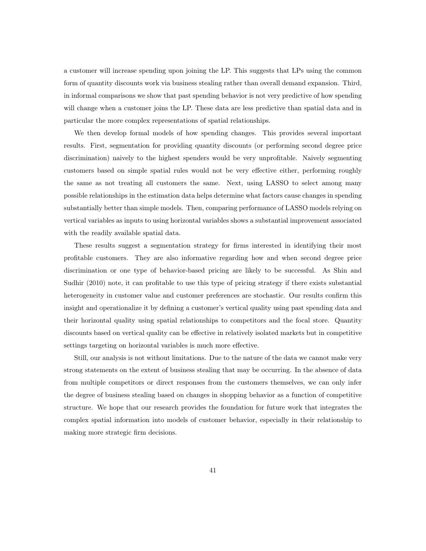a customer will increase spending upon joining the LP. This suggests that LPs using the common form of quantity discounts work via business stealing rather than overall demand expansion. Third, in informal comparisons we show that past spending behavior is not very predictive of how spending will change when a customer joins the LP. These data are less predictive than spatial data and in particular the more complex representations of spatial relationships.

We then develop formal models of how spending changes. This provides several important results. First, segmentation for providing quantity discounts (or performing second degree price discrimination) naively to the highest spenders would be very unprofitable. Naively segmenting customers based on simple spatial rules would not be very effective either, performing roughly the same as not treating all customers the same. Next, using LASSO to select among many possible relationships in the estimation data helps determine what factors cause changes in spending substantially better than simple models. Then, comparing performance of LASSO models relying on vertical variables as inputs to using horizontal variables shows a substantial improvement associated with the readily available spatial data.

These results suggest a segmentation strategy for firms interested in identifying their most profitable customers. They are also informative regarding how and when second degree price discrimination or one type of behavior-based pricing are likely to be successful. As Shin and Sudhir (2010) note, it can profitable to use this type of pricing strategy if there exists substantial heterogeneity in customer value and customer preferences are stochastic. Our results confirm this insight and operationalize it by defining a customer's vertical quality using past spending data and their horizontal quality using spatial relationships to competitors and the focal store. Quantity discounts based on vertical quality can be effective in relatively isolated markets but in competitive settings targeting on horizontal variables is much more effective.

Still, our analysis is not without limitations. Due to the nature of the data we cannot make very strong statements on the extent of business stealing that may be occurring. In the absence of data from multiple competitors or direct responses from the customers themselves, we can only infer the degree of business stealing based on changes in shopping behavior as a function of competitive structure. We hope that our research provides the foundation for future work that integrates the complex spatial information into models of customer behavior, especially in their relationship to making more strategic firm decisions.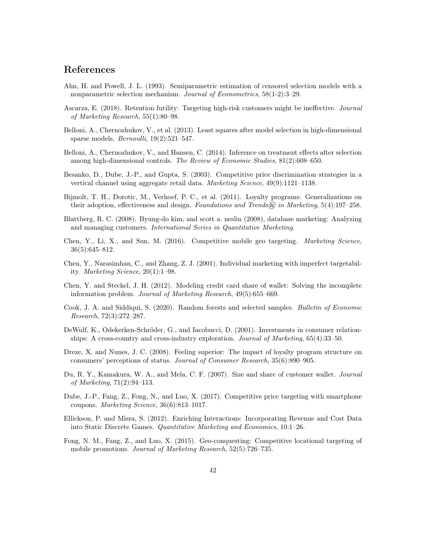## References

- Ahn, H. and Powell, J. L. (1993). Semiparametric estimation of censored selection models with a nonparametric selection mechanism. Journal of Econometrics, 58(1-2):3–29.
- Ascarza, E. (2018). Retention futility: Targeting high-risk customers might be ineffective. Journal of Marketing Research, 55(1):80–98.
- Belloni, A., Chernozhukov, V., et al. (2013). Least squares after model selection in high-dimensional sparse models.  $Bernoulli$ ,  $19(2):521-547$ .
- Belloni, A., Chernozhukov, V., and Hansen, C. (2014). Inference on treatment effects after selection among high-dimensional controls. The Review of Economic Studies, 81(2):608–650.
- Besanko, D., Dube, J.-P., and Gupta, S. (2003). Competitive price discrimination strategies in a vertical channel using aggregate retail data. Marketing Science, 49(9):1121–1138.
- Bijmolt, T. H., Dorotic, M., Verhoef, P. C., et al. (2011). Loyalty programs: Generalizations on their adoption, effectiveness and design. Foundations and Trends@ in Marketing,  $5(4):197-258$ .
- Blattberg, R. C. (2008). Byung-do kim, and scott a. neslin (2008), database marketing: Analyzing and managing customers. International Series in Quantitative Marketing.
- Chen, Y., Li, X., and Sun, M. (2016). Competitive mobile geo targeting. Marketing Science, 36(5):645–812.
- Chen, Y., Narasimhan, C., and Zhang, Z. J. (2001). Individual marketing with imperfect targetability. Marketing Science, 20(1):1–98.
- Chen, Y. and Steckel, J. H. (2012). Modeling credit card share of wallet: Solving the incomplete information problem. Journal of Marketing Research, 49(5):655–669.
- Cook, J. A. and Siddiqui, S. (2020). Random forests and selected samples. Bulletin of Economic Research, 72(3):272–287.
- DeWulf, K., Odekerken-Schröder, G., and Iacobucci, D. (2001). Investments in consumer relationships: A cross-country and cross-industry exploration. Journal of Marketing, 65(4):33–50.
- Dreze, X. and Nunes, J. C. (2008). Feeling superior: The impact of loyalty program structure on consumers' perceptions of status. Journal of Consumer Research, 35(6):890–905.
- Du, R. Y., Kamakura, W. A., and Mela, C. F. (2007). Size and share of customer wallet. Journal of Marketing, 71(2):94–113.
- Dube, J.-P., Fang, Z., Fong, N., and Luo, X. (2017). Competitive price targeting with smartphone coupons. Marketing Science, 36(6):813–1017.
- Ellickson, P. and Misra, S. (2012). Enriching Interactions: Incorporating Revenue and Cost Data into Static Discrete Games. Quantitative Marketing and Economics, 10:1–26.
- Fong, N. M., Fang, Z., and Luo, X. (2015). Geo-conquesting: Competitive locational targeting of mobile promotions. Journal of Marketing Research, 52(5):726–735.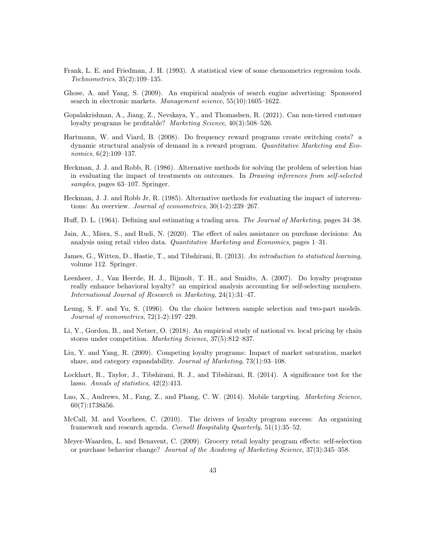- Frank, L. E. and Friedman, J. H. (1993). A statistical view of some chemometrics regression tools. Technometrics, 35(2):109–135.
- Ghose, A. and Yang, S. (2009). An empirical analysis of search engine advertising: Sponsored search in electronic markets. Management science, 55(10):1605–1622.
- Gopalakrishnan, A., Jiang, Z., Nevskaya, Y., and Thomadsen, R. (2021). Can non-tiered customer loyalty programs be profitable? Marketing Science, 40(3):508-526.
- Hartmann, W. and Viard, B. (2008). Do frequency reward programs create switching costs? a dynamic structural analysis of demand in a reward program. Quantitative Marketing and Economics, 6(2):109–137.
- Heckman, J. J. and Robb, R. (1986). Alternative methods for solving the problem of selection bias in evaluating the impact of treatments on outcomes. In Drawing inferences from self-selected samples, pages 63–107. Springer.
- Heckman, J. J. and Robb Jr, R. (1985). Alternative methods for evaluating the impact of interventions: An overview. *Journal of econometrics*,  $30(1-2):239-267$ .
- Huff, D. L. (1964). Defining and estimating a trading area. The Journal of Marketing, pages 34–38.
- Jain, A., Misra, S., and Rudi, N. (2020). The effect of sales assistance on purchase decisions: An analysis using retail video data. Quantitative Marketing and Economics, pages 1–31.
- James, G., Witten, D., Hastie, T., and Tibshirani, R. (2013). An introduction to statistical learning, volume 112. Springer.
- Leenheer, J., Van Heerde, H. J., Bijmolt, T. H., and Smidts, A. (2007). Do loyalty programs really enhance behavioral loyalty? an empirical analysis accounting for self-selecting members. International Journal of Research in Marketing, 24(1):31–47.
- Leung, S. F. and Yu, S. (1996). On the choice between sample selection and two-part models. Journal of econometrics, 72(1-2):197–229.
- Li, Y., Gordon, B., and Netzer, O. (2018). An empirical study of national vs. local pricing by chain stores under competition. Marketing Science, 37(5):812–837.
- Liu, Y. and Yang, R. (2009). Competing loyalty programs: Impact of market saturation, market share, and category expandability. Journal of Marketing, 73(1):93–108.
- Lockhart, R., Taylor, J., Tibshirani, R. J., and Tibshirani, R. (2014). A significance test for the lasso. Annals of statistics, 42(2):413.
- Luo, X., Andrews, M., Fang, Z., and Phang, C. W. (2014). Mobile targeting. *Marketing Science*, 60(7):1738â56.
- McCall, M. and Voorhees, C. (2010). The drivers of loyalty program success: An organizing framework and research agenda. Cornell Hospitality Quarterly, 51(1):35–52.
- Meyer-Waarden, L. and Benavent, C. (2009). Grocery retail loyalty program effects: self-selection or purchase behavior change? Journal of the Academy of Marketing Science, 37(3):345–358.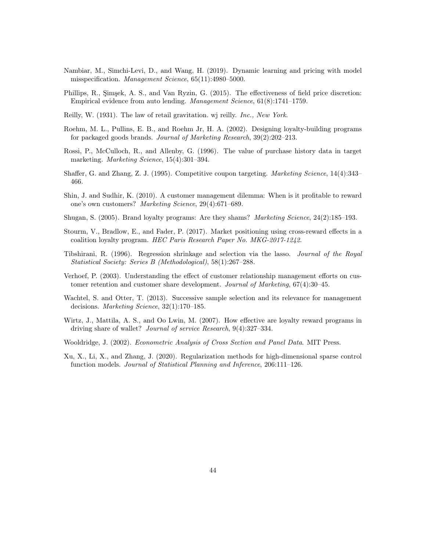- Nambiar, M., Simchi-Levi, D., and Wang, H. (2019). Dynamic learning and pricing with model misspecification. Management Science, 65(11):4980–5000.
- Phillips, R., Şimşek, A. S., and Van Ryzin, G. (2015). The effectiveness of field price discretion: Empirical evidence from auto lending. Management Science, 61(8):1741–1759.
- Reilly, W. (1931). The law of retail gravitation. wj reilly. Inc., New York.
- Roehm, M. L., Pullins, E. B., and Roehm Jr, H. A. (2002). Designing loyalty-building programs for packaged goods brands. Journal of Marketing Research, 39(2):202–213.
- Rossi, P., McCulloch, R., and Allenby, G. (1996). The value of purchase history data in target marketing. Marketing Science, 15(4):301–394.
- Shaffer, G. and Zhang, Z. J. (1995). Competitive coupon targeting. Marketing Science, 14(4):343– 466.
- Shin, J. and Sudhir, K. (2010). A customer management dilemma: When is it profitable to reward one's own customers? Marketing Science, 29(4):671–689.
- Shugan, S. (2005). Brand loyalty programs: Are they shams? Marketing Science, 24(2):185–193.
- Stourm, V., Bradlow, E., and Fader, P. (2017). Market positioning using cross-reward effects in a coalition loyalty program. HEC Paris Research Paper No. MKG-2017-1242.
- Tibshirani, R. (1996). Regression shrinkage and selection via the lasso. Journal of the Royal Statistical Society: Series B (Methodological), 58(1):267–288.
- Verhoef, P. (2003). Understanding the effect of customer relationship management efforts on customer retention and customer share development. Journal of Marketing, 67(4):30–45.
- Wachtel, S. and Otter, T. (2013). Successive sample selection and its relevance for management decisions. Marketing Science, 32(1):170–185.
- Wirtz, J., Mattila, A. S., and Oo Lwin, M. (2007). How effective are loyalty reward programs in driving share of wallet? Journal of service Research, 9(4):327–334.
- Wooldridge, J. (2002). Econometric Analysis of Cross Section and Panel Data. MIT Press.
- Xu, X., Li, X., and Zhang, J. (2020). Regularization methods for high-dimensional sparse control function models. Journal of Statistical Planning and Inference, 206:111–126.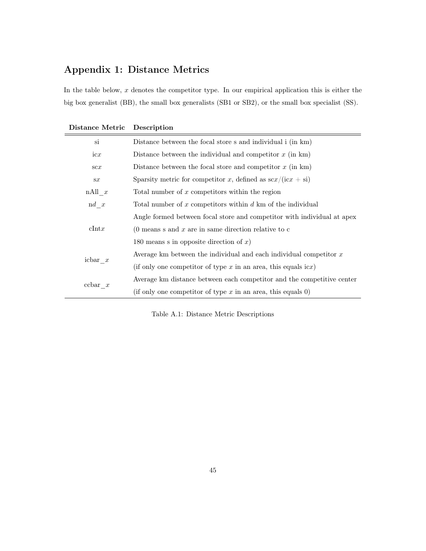## Appendix 1: Distance Metrics

In the table below,  $x$  denotes the competitor type. In our empirical application this is either the big box generalist (BB), the small box generalists (SB1 or SB2), or the small box specialist (SS).

| si                    | Distance between the focal store s and individual i (in km)                   |
|-----------------------|-------------------------------------------------------------------------------|
| icx                   | Distance between the individual and competitor $x$ (in km)                    |
| $\mathrm{sc}x$        | Distance between the focal store and competitor $x$ (in km)                   |
| sx                    | Sparsity metric for competitor x, defined as $\frac{\sec x}{\csc x + \sin x}$ |
| $nAll \ x$            | Total number of $x$ competitors within the region                             |
| $\mathbf{d} \quad x$  | Total number of $x$ competitors within $d$ km of the individual               |
|                       | Angle formed between focal store and competitor with individual at apex       |
| $\text{clntx}$        | $(0$ means s and x are in same direction relative to c                        |
|                       | 180 means s in opposite direction of $x$ )                                    |
|                       | Average km between the individual and each individual competitor $x$          |
| icbar x               | (if only one competitor of type $x$ in an area, this equals icx)              |
|                       | Average km distance between each competitor and the competitive center        |
| $\mathrm{cchar} \, x$ | (if only one competitor of type $x$ in an area, this equals 0)                |

| Distance Metric Description |  |
|-----------------------------|--|
|-----------------------------|--|

Table A.1: Distance Metric Descriptions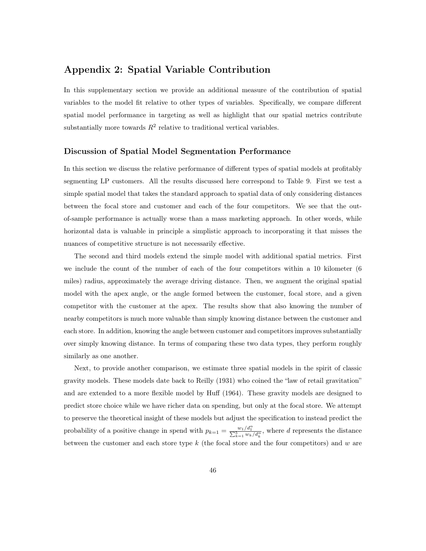## Appendix 2: Spatial Variable Contribution

In this supplementary section we provide an additional measure of the contribution of spatial variables to the model fit relative to other types of variables. Specifically, we compare different spatial model performance in targeting as well as highlight that our spatial metrics contribute substantially more towards  $R^2$  relative to traditional vertical variables.

#### Discussion of Spatial Model Segmentation Performance

In this section we discuss the relative performance of different types of spatial models at profitably segmenting LP customers. All the results discussed here correspond to Table 9. First we test a simple spatial model that takes the standard approach to spatial data of only considering distances between the focal store and customer and each of the four competitors. We see that the outof-sample performance is actually worse than a mass marketing approach. In other words, while horizontal data is valuable in principle a simplistic approach to incorporating it that misses the nuances of competitive structure is not necessarily effective.

The second and third models extend the simple model with additional spatial metrics. First we include the count of the number of each of the four competitors within a 10 kilometer (6 miles) radius, approximately the average driving distance. Then, we augment the original spatial model with the apex angle, or the angle formed between the customer, focal store, and a given competitor with the customer at the apex. The results show that also knowing the number of nearby competitors is much more valuable than simply knowing distance between the customer and each store. In addition, knowing the angle between customer and competitors improves substantially over simply knowing distance. In terms of comparing these two data types, they perform roughly similarly as one another.

Next, to provide another comparison, we estimate three spatial models in the spirit of classic gravity models. These models date back to Reilly (1931) who coined the "law of retail gravitation" and are extended to a more flexible model by Huff (1964). These gravity models are designed to predict store choice while we have richer data on spending, but only at the focal store. We attempt to preserve the theoretical insight of these models but adjust the specification to instead predict the probability of a positive change in spend with  $p_{k=1} = \frac{w_1/d_1^{\alpha}}{\sum_{k=1}^{5} w_k/d_k^{\alpha}}$ , where d represents the distance between the customer and each store type  $k$  (the focal store and the four competitors) and  $w$  are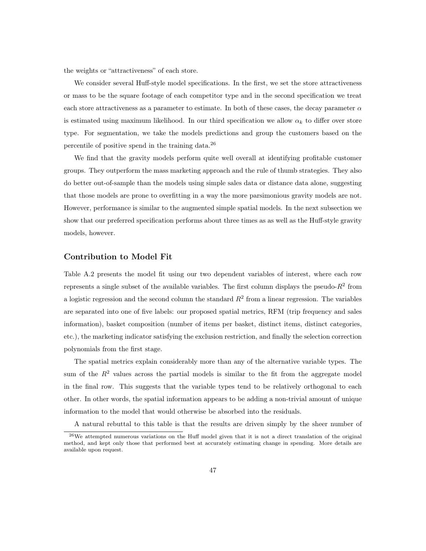the weights or "attractiveness" of each store.

We consider several Huff-style model specifications. In the first, we set the store attractiveness or mass to be the square footage of each competitor type and in the second specification we treat each store attractiveness as a parameter to estimate. In both of these cases, the decay parameter  $\alpha$ is estimated using maximum likelihood. In our third specification we allow  $\alpha_k$  to differ over store type. For segmentation, we take the models predictions and group the customers based on the percentile of positive spend in the training data.<sup>26</sup>

We find that the gravity models perform quite well overall at identifying profitable customer groups. They outperform the mass marketing approach and the rule of thumb strategies. They also do better out-of-sample than the models using simple sales data or distance data alone, suggesting that those models are prone to overfitting in a way the more parsimonious gravity models are not. However, performance is similar to the augmented simple spatial models. In the next subsection we show that our preferred specification performs about three times as as well as the Huff-style gravity models, however.

#### Contribution to Model Fit

Table A.2 presents the model fit using our two dependent variables of interest, where each row represents a single subset of the available variables. The first column displays the pseudo- $R^2$  from a logistic regression and the second column the standard  $R^2$  from a linear regression. The variables are separated into one of five labels: our proposed spatial metrics, RFM (trip frequency and sales information), basket composition (number of items per basket, distinct items, distinct categories, etc.), the marketing indicator satisfying the exclusion restriction, and finally the selection correction polynomials from the first stage.

The spatial metrics explain considerably more than any of the alternative variable types. The sum of the  $R<sup>2</sup>$  values across the partial models is similar to the fit from the aggregate model in the final row. This suggests that the variable types tend to be relatively orthogonal to each other. In other words, the spatial information appears to be adding a non-trivial amount of unique information to the model that would otherwise be absorbed into the residuals.

A natural rebuttal to this table is that the results are driven simply by the sheer number of

<sup>26</sup>We attempted numerous variations on the Huff model given that it is not a direct translation of the original method, and kept only those that performed best at accurately estimating change in spending. More details are available upon request.